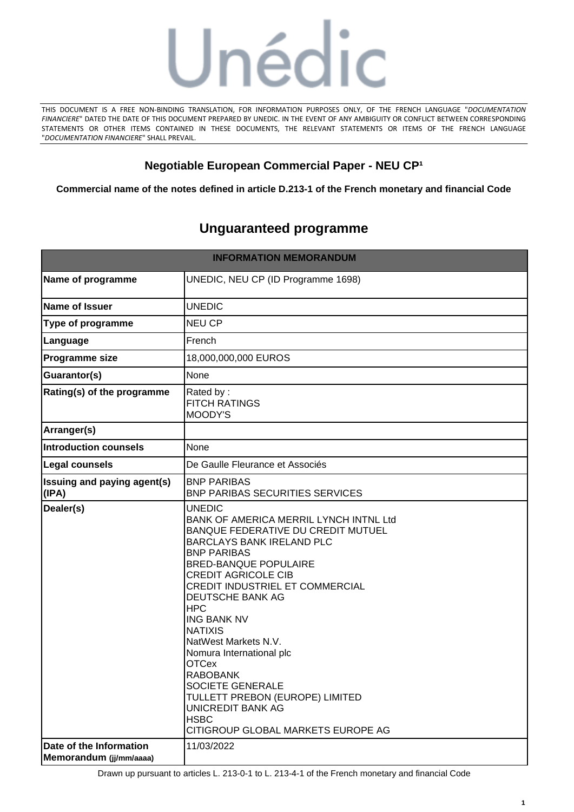

THIS DOCUMENT IS A FREE NON-BINDING TRANSLATION, FOR INFORMATION PURPOSES ONLY, OF THE FRENCH LANGUAGE "*DOCUMENTATION FINANCIERE*" DATED THE DATE OF THIS DOCUMENT PREPARED BY UNEDIC. IN THE EVENT OF ANY AMBIGUITY OR CONFLICT BETWEEN CORRESPONDING STATEMENTS OR OTHER ITEMS CONTAINED IN THESE DOCUMENTS, THE RELEVANT STATEMENTS OR ITEMS OF THE FRENCH LANGUAGE "*DOCUMENTATION FINANCIERE*" SHALL PREVAIL.

# **Negotiable European Commercial Paper - NEU CP<sup>1</sup>**

**Commercial name of the notes defined in article D.213-1 of the French monetary and financial Code**

# **Unguaranteed programme**

| <b>INFORMATION MEMORANDUM</b>                      |                                                                                                                                                                                                                                                                                                                                                                                                                                                                                                                                    |  |
|----------------------------------------------------|------------------------------------------------------------------------------------------------------------------------------------------------------------------------------------------------------------------------------------------------------------------------------------------------------------------------------------------------------------------------------------------------------------------------------------------------------------------------------------------------------------------------------------|--|
| Name of programme                                  | UNEDIC, NEU CP (ID Programme 1698)                                                                                                                                                                                                                                                                                                                                                                                                                                                                                                 |  |
| Name of Issuer                                     | <b>UNEDIC</b>                                                                                                                                                                                                                                                                                                                                                                                                                                                                                                                      |  |
| <b>Type of programme</b>                           | <b>NEU CP</b>                                                                                                                                                                                                                                                                                                                                                                                                                                                                                                                      |  |
| Language                                           | French                                                                                                                                                                                                                                                                                                                                                                                                                                                                                                                             |  |
| <b>Programme size</b>                              | 18,000,000,000 EUROS                                                                                                                                                                                                                                                                                                                                                                                                                                                                                                               |  |
| <b>Guarantor(s)</b>                                | None                                                                                                                                                                                                                                                                                                                                                                                                                                                                                                                               |  |
| <b>Rating(s) of the programme</b>                  | Rated by:<br><b>FITCH RATINGS</b><br>MOODY'S                                                                                                                                                                                                                                                                                                                                                                                                                                                                                       |  |
| Arranger(s)                                        |                                                                                                                                                                                                                                                                                                                                                                                                                                                                                                                                    |  |
| Introduction counsels                              | None                                                                                                                                                                                                                                                                                                                                                                                                                                                                                                                               |  |
| Legal counsels                                     | De Gaulle Fleurance et Associés                                                                                                                                                                                                                                                                                                                                                                                                                                                                                                    |  |
| <b>Issuing and paying agent(s)</b><br>(IPA)        | <b>BNP PARIBAS</b><br><b>BNP PARIBAS SECURITIES SERVICES</b>                                                                                                                                                                                                                                                                                                                                                                                                                                                                       |  |
| Dealer(s)                                          | <b>UNEDIC</b><br>BANK OF AMERICA MERRIL LYNCH INTNL Ltd<br>BANQUE FEDERATIVE DU CREDIT MUTUEL<br><b>BARCLAYS BANK IRELAND PLC</b><br><b>BNP PARIBAS</b><br><b>BRED-BANQUE POPULAIRE</b><br><b>CREDIT AGRICOLE CIB</b><br><b>CREDIT INDUSTRIEL ET COMMERCIAL</b><br>DEUTSCHE BANK AG<br><b>HPC</b><br><b>ING BANK NV</b><br><b>NATIXIS</b><br>NatWest Markets N.V.<br>Nomura International plc<br><b>OTCex</b><br><b>RABOBANK</b><br>SOCIETE GENERALE<br>TULLETT PREBON (EUROPE) LIMITED<br><b>UNICREDIT BANK AG</b><br><b>HSBC</b> |  |
| Date of the Information<br>Memorandum (jj/mm/aaaa) | 11/03/2022                                                                                                                                                                                                                                                                                                                                                                                                                                                                                                                         |  |

Drawn up pursuant to articles L. 213-0-1 to L. 213-4-1 of the French monetary and financial Code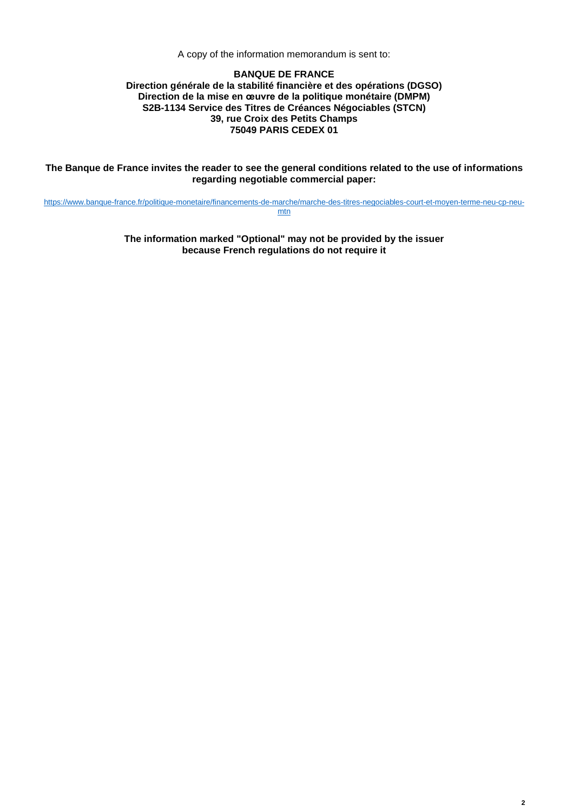A copy of the information memorandum is sent to:

#### **BANQUE DE FRANCE Direction générale de la stabilité financière et des opérations (DGSO) Direction de la mise en œuvre de la politique monétaire (DMPM) S2B-1134 Service des Titres de Créances Négociables (STCN) 39, rue Croix des Petits Champs 75049 PARIS CEDEX 01**

**The Banque de France invites the reader to see the general conditions related to the use of informations regarding negotiable commercial paper:**

[https://www.banque-france.fr/politique-monetaire/financements-de-marche/marche-des-titres-negociables-court-et-moyen-terme-neu-cp-neu](https://www.banque-france.fr/politique-monetaire/financements-de-marche/marche-des-titres-negociables-court-et-moyen-terme-neu-cp-neu-mtn)[mtn](https://www.banque-france.fr/politique-monetaire/financements-de-marche/marche-des-titres-negociables-court-et-moyen-terme-neu-cp-neu-mtn)

> **The information marked "Optional" may not be provided by the issuer because French regulations do not require it**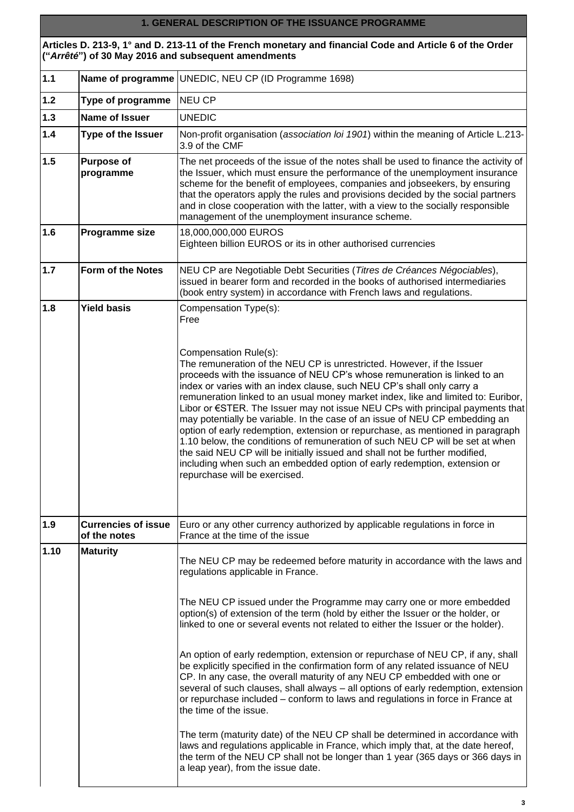### **1. GENERAL DESCRIPTION OF THE ISSUANCE PROGRAMME**

**Articles D. 213-9, 1° and D. 213-11 of the French monetary and financial Code and Article 6 of the Order ("***Arrêté***") of 30 May 2016 and subsequent amendments**

| $1.1$ |                                            | Name of programme UNEDIC, NEU CP (ID Programme 1698)                                                                                                                                                                                                                                                                                                                                                                                                                                                                                                                                                                                                                                                                                                                                                                                                                                                                                                                                                                                                                                                             |  |
|-------|--------------------------------------------|------------------------------------------------------------------------------------------------------------------------------------------------------------------------------------------------------------------------------------------------------------------------------------------------------------------------------------------------------------------------------------------------------------------------------------------------------------------------------------------------------------------------------------------------------------------------------------------------------------------------------------------------------------------------------------------------------------------------------------------------------------------------------------------------------------------------------------------------------------------------------------------------------------------------------------------------------------------------------------------------------------------------------------------------------------------------------------------------------------------|--|
| $1.2$ | Type of programme                          | <b>NEU CP</b>                                                                                                                                                                                                                                                                                                                                                                                                                                                                                                                                                                                                                                                                                                                                                                                                                                                                                                                                                                                                                                                                                                    |  |
| $1.3$ | <b>Name of Issuer</b>                      | <b>UNEDIC</b>                                                                                                                                                                                                                                                                                                                                                                                                                                                                                                                                                                                                                                                                                                                                                                                                                                                                                                                                                                                                                                                                                                    |  |
| $1.4$ | Type of the Issuer                         | Non-profit organisation (association loi 1901) within the meaning of Article L.213-<br>3.9 of the CMF                                                                                                                                                                                                                                                                                                                                                                                                                                                                                                                                                                                                                                                                                                                                                                                                                                                                                                                                                                                                            |  |
| 1.5   | <b>Purpose of</b><br>programme             | The net proceeds of the issue of the notes shall be used to finance the activity of<br>the Issuer, which must ensure the performance of the unemployment insurance<br>scheme for the benefit of employees, companies and jobseekers, by ensuring<br>that the operators apply the rules and provisions decided by the social partners<br>and in close cooperation with the latter, with a view to the socially responsible<br>management of the unemployment insurance scheme.                                                                                                                                                                                                                                                                                                                                                                                                                                                                                                                                                                                                                                    |  |
| 1.6   | Programme size                             | 18,000,000,000 EUROS<br>Eighteen billion EUROS or its in other authorised currencies                                                                                                                                                                                                                                                                                                                                                                                                                                                                                                                                                                                                                                                                                                                                                                                                                                                                                                                                                                                                                             |  |
| $1.7$ | Form of the Notes                          | NEU CP are Negotiable Debt Securities (Titres de Créances Négociables),<br>issued in bearer form and recorded in the books of authorised intermediaries<br>(book entry system) in accordance with French laws and regulations.                                                                                                                                                                                                                                                                                                                                                                                                                                                                                                                                                                                                                                                                                                                                                                                                                                                                                   |  |
| 1.8   | <b>Yield basis</b>                         | Compensation Type(s):<br>Free<br>Compensation Rule(s):<br>The remuneration of the NEU CP is unrestricted. However, if the Issuer<br>proceeds with the issuance of NEU CP's whose remuneration is linked to an<br>index or varies with an index clause, such NEU CP's shall only carry a<br>remuneration linked to an usual money market index, like and limited to: Euribor,<br>Libor or $\epsilon$ STER. The Issuer may not issue NEU CPs with principal payments that<br>may potentially be variable. In the case of an issue of NEU CP embedding an<br>option of early redemption, extension or repurchase, as mentioned in paragraph<br>1.10 below, the conditions of remuneration of such NEU CP will be set at when<br>the said NEU CP will be initially issued and shall not be further modified,<br>including when such an embedded option of early redemption, extension or<br>repurchase will be exercised.                                                                                                                                                                                            |  |
| 1.9   | <b>Currencies of issue</b><br>of the notes | Euro or any other currency authorized by applicable regulations in force in<br>France at the time of the issue                                                                                                                                                                                                                                                                                                                                                                                                                                                                                                                                                                                                                                                                                                                                                                                                                                                                                                                                                                                                   |  |
| 1.10  | <b>Maturity</b>                            | The NEU CP may be redeemed before maturity in accordance with the laws and<br>regulations applicable in France.<br>The NEU CP issued under the Programme may carry one or more embedded<br>option(s) of extension of the term (hold by either the Issuer or the holder, or<br>linked to one or several events not related to either the Issuer or the holder).<br>An option of early redemption, extension or repurchase of NEU CP, if any, shall<br>be explicitly specified in the confirmation form of any related issuance of NEU<br>CP. In any case, the overall maturity of any NEU CP embedded with one or<br>several of such clauses, shall always - all options of early redemption, extension<br>or repurchase included - conform to laws and regulations in force in France at<br>the time of the issue.<br>The term (maturity date) of the NEU CP shall be determined in accordance with<br>laws and regulations applicable in France, which imply that, at the date hereof,<br>the term of the NEU CP shall not be longer than 1 year (365 days or 366 days in<br>a leap year), from the issue date. |  |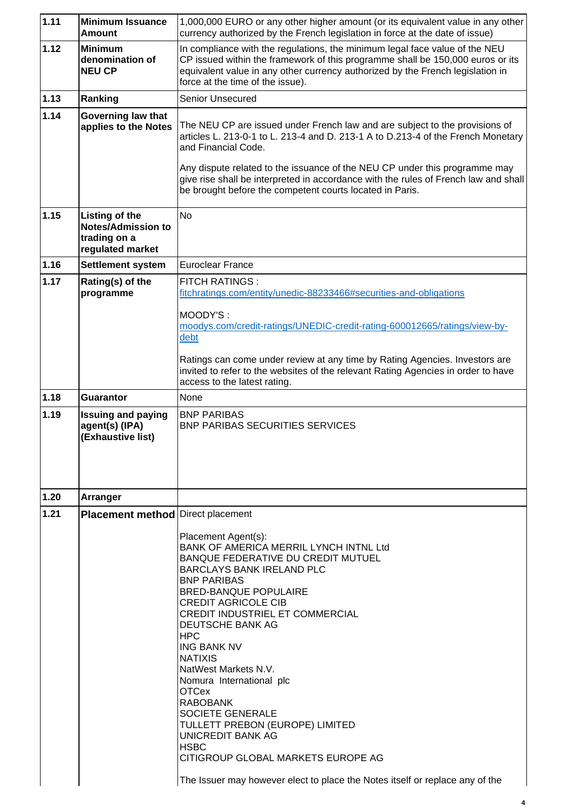| 1.11 | <b>Minimum Issuance</b><br><b>Amount</b>                                        | 1,000,000 EURO or any other higher amount (or its equivalent value in any other<br>currency authorized by the French legislation in force at the date of issue)                                                                                                                                                                                                                                                                                                                                                                                                                                                                                                              |  |
|------|---------------------------------------------------------------------------------|------------------------------------------------------------------------------------------------------------------------------------------------------------------------------------------------------------------------------------------------------------------------------------------------------------------------------------------------------------------------------------------------------------------------------------------------------------------------------------------------------------------------------------------------------------------------------------------------------------------------------------------------------------------------------|--|
| 1.12 | <b>Minimum</b><br>denomination of<br><b>NEU CP</b>                              | In compliance with the regulations, the minimum legal face value of the NEU<br>CP issued within the framework of this programme shall be 150,000 euros or its<br>equivalent value in any other currency authorized by the French legislation in<br>force at the time of the issue).                                                                                                                                                                                                                                                                                                                                                                                          |  |
| 1.13 | Ranking                                                                         | Senior Unsecured                                                                                                                                                                                                                                                                                                                                                                                                                                                                                                                                                                                                                                                             |  |
| 1.14 | Governing law that<br>applies to the Notes                                      | The NEU CP are issued under French law and are subject to the provisions of<br>articles L. 213-0-1 to L. 213-4 and D. 213-1 A to D.213-4 of the French Monetary<br>and Financial Code.<br>Any dispute related to the issuance of the NEU CP under this programme may<br>give rise shall be interpreted in accordance with the rules of French law and shall<br>be brought before the competent courts located in Paris.                                                                                                                                                                                                                                                      |  |
| 1.15 | Listing of the<br><b>Notes/Admission to</b><br>trading on a<br>regulated market | <b>No</b>                                                                                                                                                                                                                                                                                                                                                                                                                                                                                                                                                                                                                                                                    |  |
| 1.16 | <b>Settlement system</b>                                                        | <b>Euroclear France</b>                                                                                                                                                                                                                                                                                                                                                                                                                                                                                                                                                                                                                                                      |  |
| 1.17 | Rating(s) of the<br>programme                                                   | <b>FITCH RATINGS:</b><br>fitchratings.com/entity/unedic-88233466#securities-and-obligations<br>MOODY'S:<br>moodys.com/credit-ratings/UNEDIC-credit-rating-600012665/ratings/view-by-<br>debt<br>Ratings can come under review at any time by Rating Agencies. Investors are<br>invited to refer to the websites of the relevant Rating Agencies in order to have<br>access to the latest rating.                                                                                                                                                                                                                                                                             |  |
| 1.18 | <b>Guarantor</b>                                                                | None                                                                                                                                                                                                                                                                                                                                                                                                                                                                                                                                                                                                                                                                         |  |
| 1.19 | <b>Issuing and paying</b><br>agent(s) (IPA)<br>(Exhaustive list)                | <b>BNP PARIBAS</b><br>BNP PARIBAS SECURITIES SERVICES                                                                                                                                                                                                                                                                                                                                                                                                                                                                                                                                                                                                                        |  |
| 1.20 | Arranger                                                                        |                                                                                                                                                                                                                                                                                                                                                                                                                                                                                                                                                                                                                                                                              |  |
| 1.21 | <b>Placement method Direct placement</b>                                        | Placement Agent(s):<br>BANK OF AMERICA MERRIL LYNCH INTNL Ltd<br><b>BANQUE FEDERATIVE DU CREDIT MUTUEL</b><br><b>BARCLAYS BANK IRELAND PLC</b><br><b>BNP PARIBAS</b><br><b>BRED-BANQUE POPULAIRE</b><br><b>CREDIT AGRICOLE CIB</b><br><b>CREDIT INDUSTRIEL ET COMMERCIAL</b><br><b>DEUTSCHE BANK AG</b><br><b>HPC</b><br><b>ING BANK NV</b><br><b>NATIXIS</b><br>NatWest Markets N.V.<br>Nomura International plc<br><b>OTCex</b><br><b>RABOBANK</b><br>SOCIETE GENERALE<br>TULLETT PREBON (EUROPE) LIMITED<br><b>UNICREDIT BANK AG</b><br><b>HSBC</b><br>CITIGROUP GLOBAL MARKETS EUROPE AG<br>The Issuer may however elect to place the Notes itself or replace any of the |  |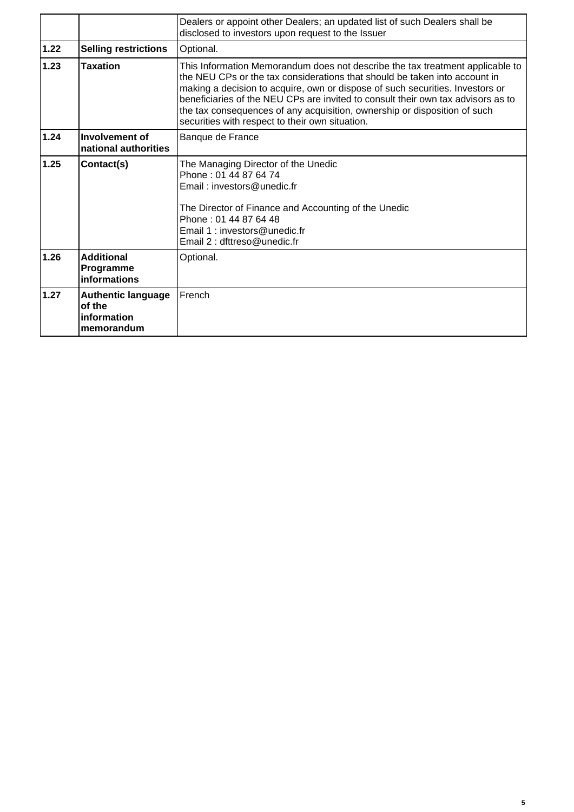|      |                                                                  | Dealers or appoint other Dealers; an updated list of such Dealers shall be<br>disclosed to investors upon request to the Issuer                                                                                                                                                                                                                                                                                                                                  |
|------|------------------------------------------------------------------|------------------------------------------------------------------------------------------------------------------------------------------------------------------------------------------------------------------------------------------------------------------------------------------------------------------------------------------------------------------------------------------------------------------------------------------------------------------|
| 1.22 | <b>Selling restrictions</b>                                      | Optional.                                                                                                                                                                                                                                                                                                                                                                                                                                                        |
| 1.23 | <b>Taxation</b>                                                  | This Information Memorandum does not describe the tax treatment applicable to<br>the NEU CPs or the tax considerations that should be taken into account in<br>making a decision to acquire, own or dispose of such securities. Investors or<br>beneficiaries of the NEU CPs are invited to consult their own tax advisors as to<br>the tax consequences of any acquisition, ownership or disposition of such<br>securities with respect to their own situation. |
| 1.24 | Involvement of<br>national authorities                           | Banque de France                                                                                                                                                                                                                                                                                                                                                                                                                                                 |
| 1.25 | Contact(s)                                                       | The Managing Director of the Unedic<br>Phone: 01 44 87 64 74<br>Email: investors@unedic.fr<br>The Director of Finance and Accounting of the Unedic<br>Phone: 01 44 87 64 48<br>Email 1: investors@unedic.fr<br>Email 2 : dfttreso@unedic.fr                                                                                                                                                                                                                      |
| 1.26 | <b>Additional</b><br>Programme<br>informations                   | Optional.                                                                                                                                                                                                                                                                                                                                                                                                                                                        |
| 1.27 | <b>Authentic language</b><br>of the<br>information<br>memorandum | French                                                                                                                                                                                                                                                                                                                                                                                                                                                           |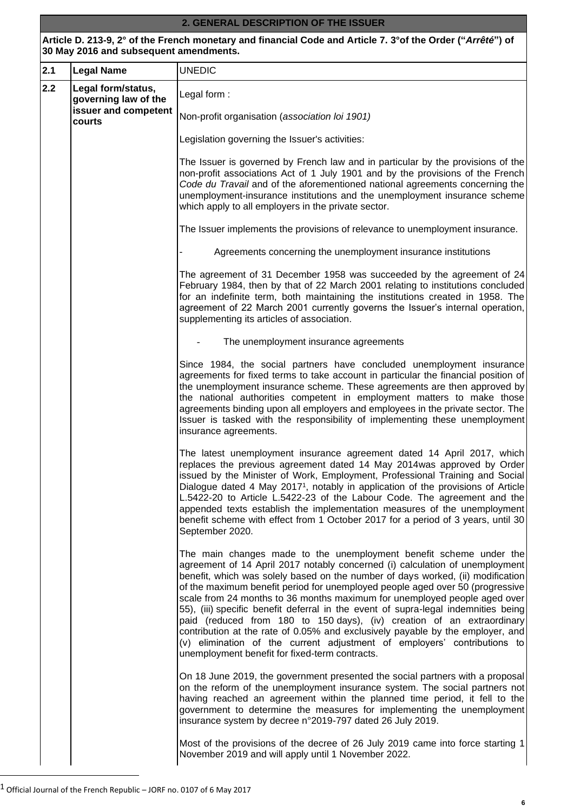## **2. GENERAL DESCRIPTION OF THE ISSUER**

**Article D. 213-9, 2° of the French monetary and financial Code and Article 7. 3°of the Order ("***Arrêté***") of 30 May 2016 and subsequent amendments.**

| 2.1 | <b>Legal Name</b>                          | <b>UNEDIC</b>                                                                                                                                                                                                                                                                                                                                                                                                                                                                                                                                                                                                                                                                                                                                                                       |
|-----|--------------------------------------------|-------------------------------------------------------------------------------------------------------------------------------------------------------------------------------------------------------------------------------------------------------------------------------------------------------------------------------------------------------------------------------------------------------------------------------------------------------------------------------------------------------------------------------------------------------------------------------------------------------------------------------------------------------------------------------------------------------------------------------------------------------------------------------------|
| 2.2 | Legal form/status,<br>governing law of the | Legal form:                                                                                                                                                                                                                                                                                                                                                                                                                                                                                                                                                                                                                                                                                                                                                                         |
|     | issuer and competent<br>courts             | Non-profit organisation (association loi 1901)                                                                                                                                                                                                                                                                                                                                                                                                                                                                                                                                                                                                                                                                                                                                      |
|     |                                            | Legislation governing the Issuer's activities:                                                                                                                                                                                                                                                                                                                                                                                                                                                                                                                                                                                                                                                                                                                                      |
|     |                                            | The Issuer is governed by French law and in particular by the provisions of the<br>non-profit associations Act of 1 July 1901 and by the provisions of the French<br>Code du Travail and of the aforementioned national agreements concerning the<br>unemployment-insurance institutions and the unemployment insurance scheme<br>which apply to all employers in the private sector.                                                                                                                                                                                                                                                                                                                                                                                               |
|     |                                            | The Issuer implements the provisions of relevance to unemployment insurance.                                                                                                                                                                                                                                                                                                                                                                                                                                                                                                                                                                                                                                                                                                        |
|     |                                            | Agreements concerning the unemployment insurance institutions                                                                                                                                                                                                                                                                                                                                                                                                                                                                                                                                                                                                                                                                                                                       |
|     |                                            | The agreement of 31 December 1958 was succeeded by the agreement of 24<br>February 1984, then by that of 22 March 2001 relating to institutions concluded<br>for an indefinite term, both maintaining the institutions created in 1958. The<br>agreement of 22 March 2001 currently governs the Issuer's internal operation,<br>supplementing its articles of association.                                                                                                                                                                                                                                                                                                                                                                                                          |
|     |                                            | The unemployment insurance agreements                                                                                                                                                                                                                                                                                                                                                                                                                                                                                                                                                                                                                                                                                                                                               |
|     |                                            | Since 1984, the social partners have concluded unemployment insurance<br>agreements for fixed terms to take account in particular the financial position of<br>the unemployment insurance scheme. These agreements are then approved by<br>the national authorities competent in employment matters to make those<br>agreements binding upon all employers and employees in the private sector. The<br>Issuer is tasked with the responsibility of implementing these unemployment<br>insurance agreements.                                                                                                                                                                                                                                                                         |
|     |                                            | The latest unemployment insurance agreement dated 14 April 2017, which<br>replaces the previous agreement dated 14 May 2014was approved by Order<br>issued by the Minister of Work, Employment, Professional Training and Social<br>Dialogue dated 4 May 2017 <sup>1</sup> , notably in application of the provisions of Article<br>L.5422-20 to Article L.5422-23 of the Labour Code. The agreement and the<br>appended texts establish the implementation measures of the unemployment<br>benefit scheme with effect from 1 October 2017 for a period of 3 years, until 30<br>September 2020.                                                                                                                                                                                     |
|     |                                            | The main changes made to the unemployment benefit scheme under the<br>agreement of 14 April 2017 notably concerned (i) calculation of unemployment<br>benefit, which was solely based on the number of days worked, (ii) modification<br>of the maximum benefit period for unemployed people aged over 50 (progressive<br>scale from 24 months to 36 months maximum for unemployed people aged over<br>55), (iii) specific benefit deferral in the event of supra-legal indemnities being<br>paid (reduced from 180 to 150 days), (iv) creation of an extraordinary<br>contribution at the rate of 0.05% and exclusively payable by the employer, and<br>(v) elimination of the current adjustment of employers' contributions to<br>unemployment benefit for fixed-term contracts. |
|     |                                            | On 18 June 2019, the government presented the social partners with a proposal<br>on the reform of the unemployment insurance system. The social partners not<br>having reached an agreement within the planned time period, it fell to the<br>government to determine the measures for implementing the unemployment<br>insurance system by decree n°2019-797 dated 26 July 2019.                                                                                                                                                                                                                                                                                                                                                                                                   |
|     |                                            | Most of the provisions of the decree of 26 July 2019 came into force starting 1<br>November 2019 and will apply until 1 November 2022.                                                                                                                                                                                                                                                                                                                                                                                                                                                                                                                                                                                                                                              |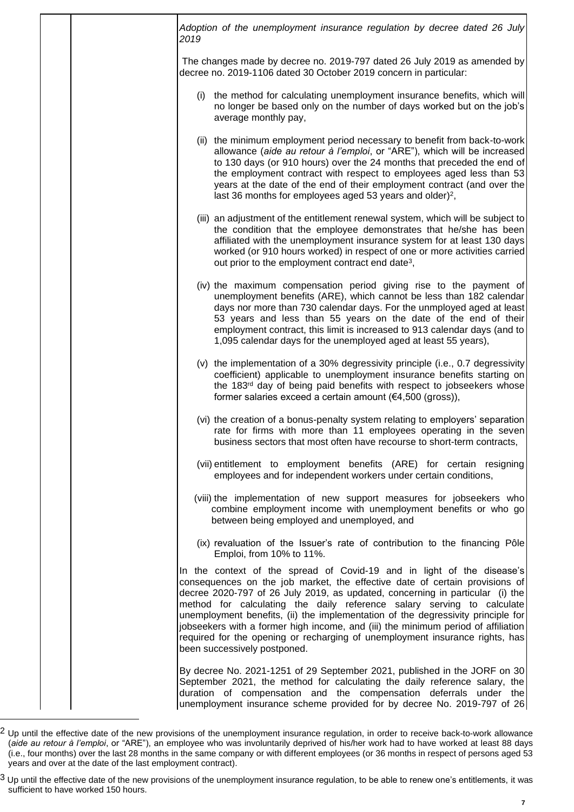| Adoption of the unemployment insurance regulation by decree dated 26 July<br>2019                                                                                                                                                                                                                                                                                                                                                                                                                                                                                                                         |
|-----------------------------------------------------------------------------------------------------------------------------------------------------------------------------------------------------------------------------------------------------------------------------------------------------------------------------------------------------------------------------------------------------------------------------------------------------------------------------------------------------------------------------------------------------------------------------------------------------------|
| The changes made by decree no. 2019-797 dated 26 July 2019 as amended by<br>decree no. 2019-1106 dated 30 October 2019 concern in particular:                                                                                                                                                                                                                                                                                                                                                                                                                                                             |
| (i) the method for calculating unemployment insurance benefits, which will<br>no longer be based only on the number of days worked but on the job's<br>average monthly pay,                                                                                                                                                                                                                                                                                                                                                                                                                               |
| (ii) the minimum employment period necessary to benefit from back-to-work<br>allowance (aide au retour à l'emploi, or "ARE"), which will be increased<br>to 130 days (or 910 hours) over the 24 months that preceded the end of<br>the employment contract with respect to employees aged less than 53<br>years at the date of the end of their employment contract (and over the<br>last 36 months for employees aged 53 years and older) <sup>2</sup> ,                                                                                                                                                 |
| (iii) an adjustment of the entitlement renewal system, which will be subject to<br>the condition that the employee demonstrates that he/she has been<br>affiliated with the unemployment insurance system for at least 130 days<br>worked (or 910 hours worked) in respect of one or more activities carried<br>out prior to the employment contract end date <sup>3</sup> ,                                                                                                                                                                                                                              |
| (iv) the maximum compensation period giving rise to the payment of<br>unemployment benefits (ARE), which cannot be less than 182 calendar<br>days nor more than 730 calendar days. For the unmployed aged at least<br>53 years and less than 55 years on the date of the end of their<br>employment contract, this limit is increased to 913 calendar days (and to<br>1,095 calendar days for the unemployed aged at least 55 years),                                                                                                                                                                     |
| (v) the implementation of a 30% degressivity principle (i.e., 0.7 degressivity<br>coefficient) applicable to unemployment insurance benefits starting on<br>the 183 <sup>rd</sup> day of being paid benefits with respect to jobseekers whose<br>former salaries exceed a certain amount $(€4,500 (gross)),$                                                                                                                                                                                                                                                                                              |
| (vi) the creation of a bonus-penalty system relating to employers' separation<br>rate for firms with more than 11 employees operating in the seven<br>business sectors that most often have recourse to short-term contracts,                                                                                                                                                                                                                                                                                                                                                                             |
| (vii) entitlement to employment benefits (ARE) for certain resigning<br>employees and for independent workers under certain conditions,                                                                                                                                                                                                                                                                                                                                                                                                                                                                   |
| (viii) the implementation of new support measures for jobseekers who<br>combine employment income with unemployment benefits or who go<br>between being employed and unemployed, and                                                                                                                                                                                                                                                                                                                                                                                                                      |
| (ix) revaluation of the Issuer's rate of contribution to the financing Pôle<br>Emploi, from 10% to 11%.                                                                                                                                                                                                                                                                                                                                                                                                                                                                                                   |
| In the context of the spread of Covid-19 and in light of the disease's<br>consequences on the job market, the effective date of certain provisions of<br>decree 2020-797 of 26 July 2019, as updated, concerning in particular (i) the<br>method for calculating the daily reference salary serving to calculate<br>unemployment benefits, (ii) the implementation of the degressivity principle for<br>jobseekers with a former high income, and (iii) the minimum period of affiliation<br>required for the opening or recharging of unemployment insurance rights, has<br>been successively postponed. |
| By decree No. 2021-1251 of 29 September 2021, published in the JORF on 30<br>September 2021, the method for calculating the daily reference salary, the<br>duration of compensation and the compensation deferrals under the<br>unemployment insurance scheme provided for by decree No. 2019-797 of 26                                                                                                                                                                                                                                                                                                   |

 $2$  Up until the effective date of the new provisions of the unemployment insurance regulation, in order to receive back-to-work allowance (*aide au retour à l'emploi*, or "ARE"), an employee who was involuntarily deprived of his/her work had to have worked at least 88 days (i.e., four months) over the last 28 months in the same company or with different employees (or 36 months in respect of persons aged 53 years and over at the date of the last employment contract).

 $^3$  Up until the effective date of the new provisions of the unemployment insurance regulation, to be able to renew one's entitlements, it was sufficient to have worked 150 hours.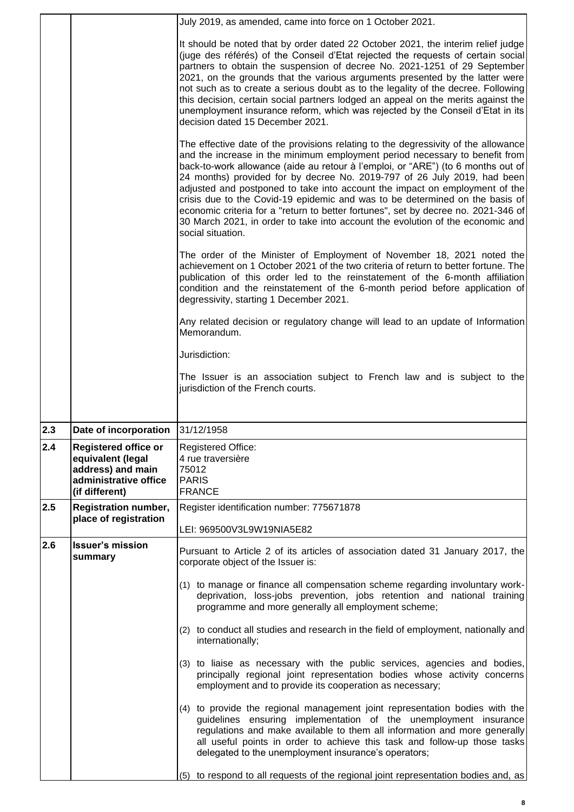|            |                                                                                   | July 2019, as amended, came into force on 1 October 2021.                                                                                                                                                                                                                                                                                                                                                                                                                                                                                                                                                                                                                                     |
|------------|-----------------------------------------------------------------------------------|-----------------------------------------------------------------------------------------------------------------------------------------------------------------------------------------------------------------------------------------------------------------------------------------------------------------------------------------------------------------------------------------------------------------------------------------------------------------------------------------------------------------------------------------------------------------------------------------------------------------------------------------------------------------------------------------------|
|            |                                                                                   | It should be noted that by order dated 22 October 2021, the interim relief judge<br>(juge des référés) of the Conseil d'Etat rejected the requests of certain social<br>partners to obtain the suspension of decree No. 2021-1251 of 29 September<br>2021, on the grounds that the various arguments presented by the latter were<br>not such as to create a serious doubt as to the legality of the decree. Following<br>this decision, certain social partners lodged an appeal on the merits against the<br>unemployment insurance reform, which was rejected by the Conseil d'Etat in its<br>decision dated 15 December 2021.                                                             |
|            |                                                                                   | The effective date of the provisions relating to the degressivity of the allowance<br>and the increase in the minimum employment period necessary to benefit from<br>back-to-work allowance (aide au retour à l'emploi, or "ARE") (to 6 months out of<br>24 months) provided for by decree No. 2019-797 of 26 July 2019, had been<br>adjusted and postponed to take into account the impact on employment of the<br>crisis due to the Covid-19 epidemic and was to be determined on the basis of<br>economic criteria for a "return to better fortunes", set by decree no. 2021-346 of<br>30 March 2021, in order to take into account the evolution of the economic and<br>social situation. |
|            |                                                                                   | The order of the Minister of Employment of November 18, 2021 noted the<br>achievement on 1 October 2021 of the two criteria of return to better fortune. The<br>publication of this order led to the reinstatement of the 6-month affiliation<br>condition and the reinstatement of the 6-month period before application of<br>degressivity, starting 1 December 2021.                                                                                                                                                                                                                                                                                                                       |
|            |                                                                                   | Any related decision or regulatory change will lead to an update of Information<br>Memorandum.                                                                                                                                                                                                                                                                                                                                                                                                                                                                                                                                                                                                |
|            |                                                                                   | Jurisdiction:                                                                                                                                                                                                                                                                                                                                                                                                                                                                                                                                                                                                                                                                                 |
|            |                                                                                   | The Issuer is an association subject to French law and is subject to the<br>jurisdiction of the French courts.                                                                                                                                                                                                                                                                                                                                                                                                                                                                                                                                                                                |
|            |                                                                                   |                                                                                                                                                                                                                                                                                                                                                                                                                                                                                                                                                                                                                                                                                               |
| 2.3<br>2.4 | Date of incorporation 31/12/1958<br>Registered office or                          | Registered Office:                                                                                                                                                                                                                                                                                                                                                                                                                                                                                                                                                                                                                                                                            |
|            |                                                                                   |                                                                                                                                                                                                                                                                                                                                                                                                                                                                                                                                                                                                                                                                                               |
|            | equivalent (legal<br>address) and main<br>administrative office<br>(if different) | 4 rue traversière<br>75012<br><b>PARIS</b><br><b>FRANCE</b>                                                                                                                                                                                                                                                                                                                                                                                                                                                                                                                                                                                                                                   |
| 2.5        | <b>Registration number,</b><br>place of registration                              | Register identification number: 775671878                                                                                                                                                                                                                                                                                                                                                                                                                                                                                                                                                                                                                                                     |
|            |                                                                                   | LEI: 969500V3L9W19NIA5E82                                                                                                                                                                                                                                                                                                                                                                                                                                                                                                                                                                                                                                                                     |
| 2.6        | <b>Issuer's mission</b><br>summary                                                | Pursuant to Article 2 of its articles of association dated 31 January 2017, the<br>corporate object of the Issuer is:                                                                                                                                                                                                                                                                                                                                                                                                                                                                                                                                                                         |
|            |                                                                                   | (1) to manage or finance all compensation scheme regarding involuntary work-<br>deprivation, loss-jobs prevention, jobs retention and national training<br>programme and more generally all employment scheme;                                                                                                                                                                                                                                                                                                                                                                                                                                                                                |
|            |                                                                                   | (2) to conduct all studies and research in the field of employment, nationally and<br>internationally;                                                                                                                                                                                                                                                                                                                                                                                                                                                                                                                                                                                        |
|            |                                                                                   | (3) to liaise as necessary with the public services, agencies and bodies,<br>principally regional joint representation bodies whose activity concerns<br>employment and to provide its cooperation as necessary;                                                                                                                                                                                                                                                                                                                                                                                                                                                                              |
|            |                                                                                   | (4) to provide the regional management joint representation bodies with the<br>guidelines ensuring implementation of the unemployment insurance<br>regulations and make available to them all information and more generally<br>all useful points in order to achieve this task and follow-up those tasks<br>delegated to the unemployment insurance's operators;                                                                                                                                                                                                                                                                                                                             |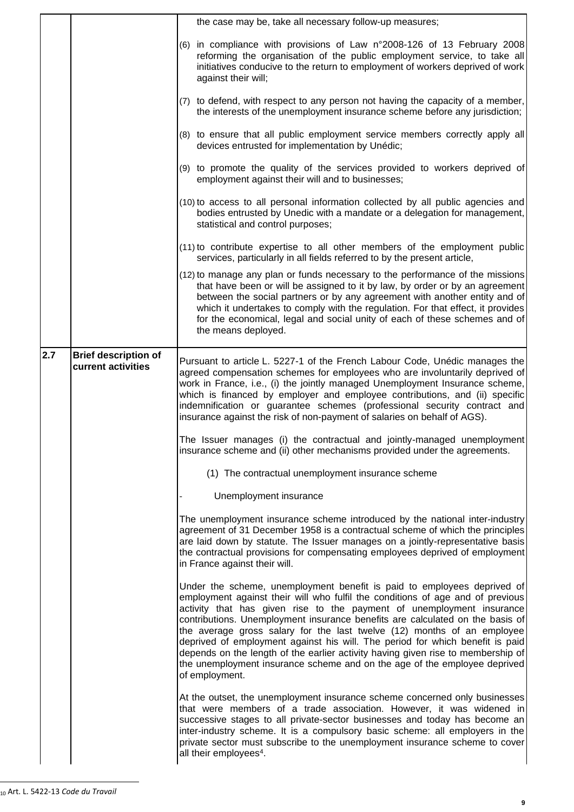|     |                                                   | the case may be, take all necessary follow-up measures;                                                                                                                                                                                                                                                                                                                                                                                                                                                                                                                                                                                                            |
|-----|---------------------------------------------------|--------------------------------------------------------------------------------------------------------------------------------------------------------------------------------------------------------------------------------------------------------------------------------------------------------------------------------------------------------------------------------------------------------------------------------------------------------------------------------------------------------------------------------------------------------------------------------------------------------------------------------------------------------------------|
|     |                                                   | (6) in compliance with provisions of Law n°2008-126 of 13 February 2008<br>reforming the organisation of the public employment service, to take all<br>initiatives conducive to the return to employment of workers deprived of work<br>against their will;                                                                                                                                                                                                                                                                                                                                                                                                        |
|     |                                                   | (7) to defend, with respect to any person not having the capacity of a member,<br>the interests of the unemployment insurance scheme before any jurisdiction;                                                                                                                                                                                                                                                                                                                                                                                                                                                                                                      |
|     |                                                   | (8) to ensure that all public employment service members correctly apply all<br>devices entrusted for implementation by Unédic;                                                                                                                                                                                                                                                                                                                                                                                                                                                                                                                                    |
|     |                                                   | (9) to promote the quality of the services provided to workers deprived of<br>employment against their will and to businesses;                                                                                                                                                                                                                                                                                                                                                                                                                                                                                                                                     |
|     |                                                   | (10) to access to all personal information collected by all public agencies and<br>bodies entrusted by Unedic with a mandate or a delegation for management,<br>statistical and control purposes;                                                                                                                                                                                                                                                                                                                                                                                                                                                                  |
|     |                                                   | (11) to contribute expertise to all other members of the employment public<br>services, particularly in all fields referred to by the present article,                                                                                                                                                                                                                                                                                                                                                                                                                                                                                                             |
|     |                                                   | (12) to manage any plan or funds necessary to the performance of the missions<br>that have been or will be assigned to it by law, by order or by an agreement<br>between the social partners or by any agreement with another entity and of<br>which it undertakes to comply with the regulation. For that effect, it provides<br>for the economical, legal and social unity of each of these schemes and of<br>the means deployed.                                                                                                                                                                                                                                |
| 2.7 | <b>Brief description of</b><br>current activities | Pursuant to article L. 5227-1 of the French Labour Code, Unédic manages the<br>agreed compensation schemes for employees who are involuntarily deprived of<br>work in France, i.e., (i) the jointly managed Unemployment Insurance scheme,<br>which is financed by employer and employee contributions, and (ii) specific<br>indemnification or guarantee schemes (professional security contract and<br>insurance against the risk of non-payment of salaries on behalf of AGS).                                                                                                                                                                                  |
|     |                                                   | The Issuer manages (i) the contractual and jointly-managed unemployment<br>insurance scheme and (ii) other mechanisms provided under the agreements.                                                                                                                                                                                                                                                                                                                                                                                                                                                                                                               |
|     |                                                   | (1) The contractual unemployment insurance scheme                                                                                                                                                                                                                                                                                                                                                                                                                                                                                                                                                                                                                  |
|     |                                                   | Unemployment insurance                                                                                                                                                                                                                                                                                                                                                                                                                                                                                                                                                                                                                                             |
|     |                                                   | The unemployment insurance scheme introduced by the national inter-industry<br>agreement of 31 December 1958 is a contractual scheme of which the principles<br>are laid down by statute. The Issuer manages on a jointly-representative basis<br>the contractual provisions for compensating employees deprived of employment<br>in France against their will.                                                                                                                                                                                                                                                                                                    |
|     |                                                   | Under the scheme, unemployment benefit is paid to employees deprived of<br>employment against their will who fulfil the conditions of age and of previous<br>activity that has given rise to the payment of unemployment insurance<br>contributions. Unemployment insurance benefits are calculated on the basis of<br>the average gross salary for the last twelve (12) months of an employee<br>deprived of employment against his will. The period for which benefit is paid<br>depends on the length of the earlier activity having given rise to membership of<br>the unemployment insurance scheme and on the age of the employee deprived<br>of employment. |
|     |                                                   | At the outset, the unemployment insurance scheme concerned only businesses<br>that were members of a trade association. However, it was widened in<br>successive stages to all private-sector businesses and today has become an<br>inter-industry scheme. It is a compulsory basic scheme: all employers in the<br>private sector must subscribe to the unemployment insurance scheme to cover<br>all their employees <sup>4</sup> .                                                                                                                                                                                                                              |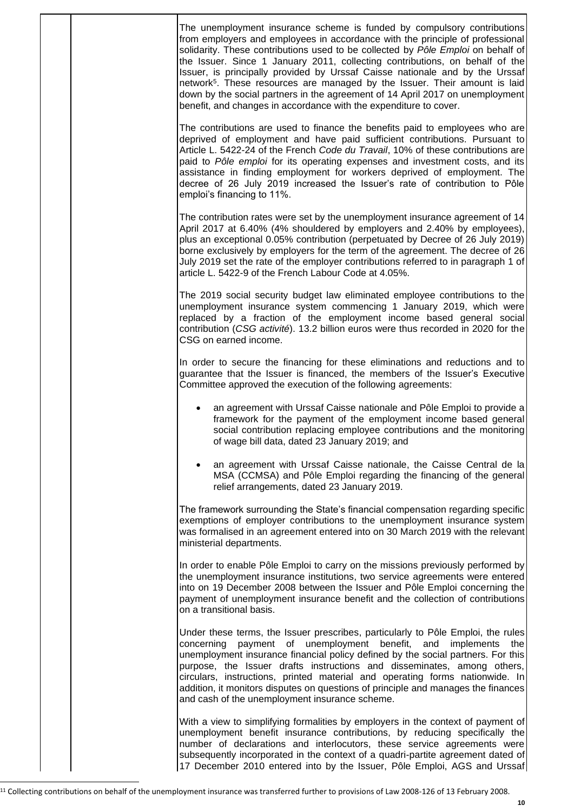|  | The unemployment insurance scheme is funded by compulsory contributions<br>from employers and employees in accordance with the principle of professional<br>solidarity. These contributions used to be collected by Pôle Emploi on behalf of<br>the Issuer. Since 1 January 2011, collecting contributions, on behalf of the<br>Issuer, is principally provided by Urssaf Caisse nationale and by the Urssaf<br>network <sup>5</sup> . These resources are managed by the Issuer. Their amount is laid<br>down by the social partners in the agreement of 14 April 2017 on unemployment<br>benefit, and changes in accordance with the expenditure to cover. |
|--|--------------------------------------------------------------------------------------------------------------------------------------------------------------------------------------------------------------------------------------------------------------------------------------------------------------------------------------------------------------------------------------------------------------------------------------------------------------------------------------------------------------------------------------------------------------------------------------------------------------------------------------------------------------|
|  | The contributions are used to finance the benefits paid to employees who are<br>deprived of employment and have paid sufficient contributions. Pursuant to<br>Article L. 5422-24 of the French Code du Travail, 10% of these contributions are<br>paid to Pôle emploi for its operating expenses and investment costs, and its<br>assistance in finding employment for workers deprived of employment. The<br>decree of 26 July 2019 increased the Issuer's rate of contribution to Pôle<br>emploi's financing to 11%.                                                                                                                                       |
|  | The contribution rates were set by the unemployment insurance agreement of 14<br>April 2017 at 6.40% (4% shouldered by employers and 2.40% by employees),<br>plus an exceptional 0.05% contribution (perpetuated by Decree of 26 July 2019)<br>borne exclusively by employers for the term of the agreement. The decree of 26<br>July 2019 set the rate of the employer contributions referred to in paragraph 1 of<br>article L. 5422-9 of the French Labour Code at 4.05%.                                                                                                                                                                                 |
|  | The 2019 social security budget law eliminated employee contributions to the<br>unemployment insurance system commencing 1 January 2019, which were<br>replaced by a fraction of the employment income based general social<br>contribution (CSG activité). 13.2 billion euros were thus recorded in 2020 for the<br>CSG on earned income.                                                                                                                                                                                                                                                                                                                   |
|  | In order to secure the financing for these eliminations and reductions and to<br>guarantee that the Issuer is financed, the members of the Issuer's Executive<br>Committee approved the execution of the following agreements:                                                                                                                                                                                                                                                                                                                                                                                                                               |
|  | an agreement with Urssaf Caisse nationale and Pôle Emploi to provide a<br>framework for the payment of the employment income based general<br>social contribution replacing employee contributions and the monitoring<br>of wage bill data, dated 23 January 2019; and                                                                                                                                                                                                                                                                                                                                                                                       |
|  | an agreement with Urssaf Caisse nationale, the Caisse Central de la<br>MSA (CCMSA) and Pôle Emploi regarding the financing of the general<br>relief arrangements, dated 23 January 2019.                                                                                                                                                                                                                                                                                                                                                                                                                                                                     |
|  | The framework surrounding the State's financial compensation regarding specific<br>exemptions of employer contributions to the unemployment insurance system<br>was formalised in an agreement entered into on 30 March 2019 with the relevant<br>ministerial departments.                                                                                                                                                                                                                                                                                                                                                                                   |
|  | In order to enable Pôle Emploi to carry on the missions previously performed by<br>the unemployment insurance institutions, two service agreements were entered<br>into on 19 December 2008 between the Issuer and Pôle Emploi concerning the<br>payment of unemployment insurance benefit and the collection of contributions<br>on a transitional basis.                                                                                                                                                                                                                                                                                                   |
|  | Under these terms, the Issuer prescribes, particularly to Pôle Emploi, the rules<br>payment of unemployment benefit, and<br>concerning<br>implements<br>the<br>unemployment insurance financial policy defined by the social partners. For this<br>purpose, the Issuer drafts instructions and disseminates, among others,<br>circulars, instructions, printed material and operating forms nationwide. In<br>addition, it monitors disputes on questions of principle and manages the finances<br>and cash of the unemployment insurance scheme.                                                                                                            |
|  | With a view to simplifying formalities by employers in the context of payment of<br>unemployment benefit insurance contributions, by reducing specifically the<br>number of declarations and interlocutors, these service agreements were<br>subsequently incorporated in the context of a quadri-partite agreement dated of<br>17 December 2010 entered into by the Issuer, Pôle Emploi, AGS and Urssaf                                                                                                                                                                                                                                                     |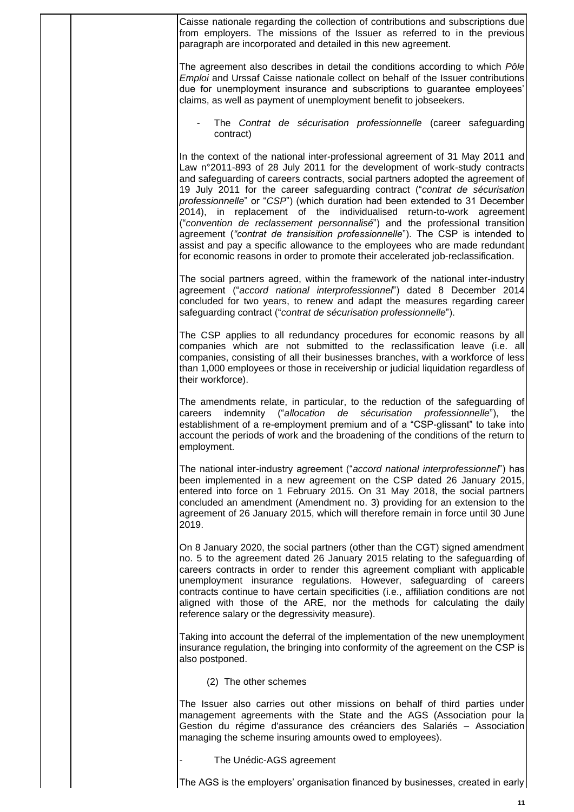|                        | Caisse nationale regarding the collection of contributions and subscriptions due<br>from employers. The missions of the Issuer as referred to in the previous<br>paragraph are incorporated and detailed in this new agreement.                                                                                                                                                                                                                                                                                                                                                                                                                                                                                                                                                                                          |
|------------------------|--------------------------------------------------------------------------------------------------------------------------------------------------------------------------------------------------------------------------------------------------------------------------------------------------------------------------------------------------------------------------------------------------------------------------------------------------------------------------------------------------------------------------------------------------------------------------------------------------------------------------------------------------------------------------------------------------------------------------------------------------------------------------------------------------------------------------|
|                        | The agreement also describes in detail the conditions according to which Pôle<br>Emploi and Urssaf Caisse nationale collect on behalf of the Issuer contributions<br>due for unemployment insurance and subscriptions to guarantee employees'<br>claims, as well as payment of unemployment benefit to jobseekers.                                                                                                                                                                                                                                                                                                                                                                                                                                                                                                       |
|                        | The Contrat de sécurisation professionnelle (career safeguarding<br>contract)                                                                                                                                                                                                                                                                                                                                                                                                                                                                                                                                                                                                                                                                                                                                            |
|                        | In the context of the national inter-professional agreement of 31 May 2011 and<br>Law n°2011-893 of 28 July 2011 for the development of work-study contracts<br>and safeguarding of careers contracts, social partners adopted the agreement of<br>19 July 2011 for the career safeguarding contract ("contrat de sécurisation<br>professionnelle" or "CSP") (which duration had been extended to 31 December<br>2014), in replacement of the individualised return-to-work agreement<br>("convention de reclassement personnalisé") and the professional transition<br>agreement ("contrat de transisition professionnelle"). The CSP is intended to<br>assist and pay a specific allowance to the employees who are made redundant<br>for economic reasons in order to promote their accelerated job-reclassification. |
|                        | The social partners agreed, within the framework of the national inter-industry<br>agreement ("accord national interprofessionnel") dated 8 December 2014<br>concluded for two years, to renew and adapt the measures regarding career<br>safeguarding contract ("contrat de sécurisation professionnelle").                                                                                                                                                                                                                                                                                                                                                                                                                                                                                                             |
| their workforce).      | The CSP applies to all redundancy procedures for economic reasons by all<br>companies which are not submitted to the reclassification leave (i.e. all<br>companies, consisting of all their businesses branches, with a workforce of less<br>than 1,000 employees or those in receivership or judicial liquidation regardless of                                                                                                                                                                                                                                                                                                                                                                                                                                                                                         |
| careers<br>employment. | The amendments relate, in particular, to the reduction of the safeguarding of<br>indemnity ("allocation de sécurisation professionnelle"), the<br>establishment of a re-employment premium and of a "CSP-glissant" to take into<br>account the periods of work and the broadening of the conditions of the return to                                                                                                                                                                                                                                                                                                                                                                                                                                                                                                     |
| 2019.                  | The national inter-industry agreement ("accord national interprofessionnel") has<br>been implemented in a new agreement on the CSP dated 26 January 2015,<br>entered into force on 1 February 2015. On 31 May 2018, the social partners<br>concluded an amendment (Amendment no. 3) providing for an extension to the<br>agreement of 26 January 2015, which will therefore remain in force until 30 June                                                                                                                                                                                                                                                                                                                                                                                                                |
|                        | On 8 January 2020, the social partners (other than the CGT) signed amendment<br>no. 5 to the agreement dated 26 January 2015 relating to the safeguarding of<br>careers contracts in order to render this agreement compliant with applicable<br>unemployment insurance regulations. However, safeguarding of careers<br>contracts continue to have certain specificities (i.e., affiliation conditions are not<br>aligned with those of the ARE, nor the methods for calculating the daily<br>reference salary or the degressivity measure).                                                                                                                                                                                                                                                                            |
| also postponed.        | Taking into account the deferral of the implementation of the new unemployment<br>insurance regulation, the bringing into conformity of the agreement on the CSP is                                                                                                                                                                                                                                                                                                                                                                                                                                                                                                                                                                                                                                                      |
|                        | (2) The other schemes                                                                                                                                                                                                                                                                                                                                                                                                                                                                                                                                                                                                                                                                                                                                                                                                    |
|                        | The Issuer also carries out other missions on behalf of third parties under<br>management agreements with the State and the AGS (Association pour la<br>Gestion du régime d'assurance des créanciers des Salariés - Association<br>managing the scheme insuring amounts owed to employees).                                                                                                                                                                                                                                                                                                                                                                                                                                                                                                                              |
|                        | The Unédic-AGS agreement                                                                                                                                                                                                                                                                                                                                                                                                                                                                                                                                                                                                                                                                                                                                                                                                 |
|                        | The AGS is the employers' organisation financed by businesses, created in early                                                                                                                                                                                                                                                                                                                                                                                                                                                                                                                                                                                                                                                                                                                                          |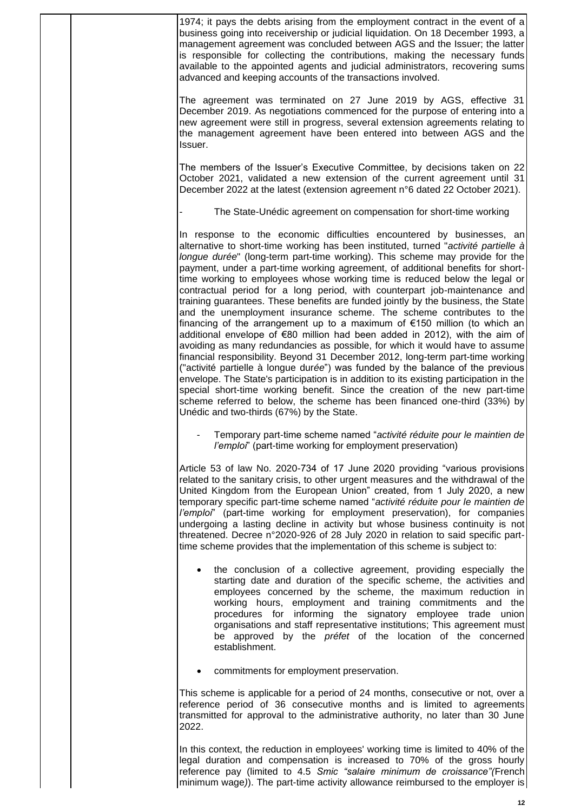| 1974; it pays the debts arising from the employment contract in the event of a<br>business going into receivership or judicial liquidation. On 18 December 1993, a<br>management agreement was concluded between AGS and the Issuer; the latter<br>is responsible for collecting the contributions, making the necessary funds<br>available to the appointed agents and judicial administrators, recovering sums<br>advanced and keeping accounts of the transactions involved.                                                                                                                                                                                                                                                                                                                                                                                                                                                                                                                                                                                                                                                                                                                                                                                                                                                                                                |
|--------------------------------------------------------------------------------------------------------------------------------------------------------------------------------------------------------------------------------------------------------------------------------------------------------------------------------------------------------------------------------------------------------------------------------------------------------------------------------------------------------------------------------------------------------------------------------------------------------------------------------------------------------------------------------------------------------------------------------------------------------------------------------------------------------------------------------------------------------------------------------------------------------------------------------------------------------------------------------------------------------------------------------------------------------------------------------------------------------------------------------------------------------------------------------------------------------------------------------------------------------------------------------------------------------------------------------------------------------------------------------|
| The agreement was terminated on 27 June 2019 by AGS, effective 31<br>December 2019. As negotiations commenced for the purpose of entering into a<br>new agreement were still in progress, several extension agreements relating to<br>the management agreement have been entered into between AGS and the<br>Issuer.                                                                                                                                                                                                                                                                                                                                                                                                                                                                                                                                                                                                                                                                                                                                                                                                                                                                                                                                                                                                                                                           |
| The members of the Issuer's Executive Committee, by decisions taken on 22<br>October 2021, validated a new extension of the current agreement until 31<br>December 2022 at the latest (extension agreement n°6 dated 22 October 2021).                                                                                                                                                                                                                                                                                                                                                                                                                                                                                                                                                                                                                                                                                                                                                                                                                                                                                                                                                                                                                                                                                                                                         |
| The State-Unédic agreement on compensation for short-time working                                                                                                                                                                                                                                                                                                                                                                                                                                                                                                                                                                                                                                                                                                                                                                                                                                                                                                                                                                                                                                                                                                                                                                                                                                                                                                              |
| In response to the economic difficulties encountered by businesses, an<br>alternative to short-time working has been instituted, turned "activité partielle à<br>longue durée" (long-term part-time working). This scheme may provide for the<br>payment, under a part-time working agreement, of additional benefits for short-<br>time working to employees whose working time is reduced below the legal or<br>contractual period for a long period, with counterpart job-maintenance and<br>training guarantees. These benefits are funded jointly by the business, the State<br>and the unemployment insurance scheme. The scheme contributes to the<br>financing of the arrangement up to a maximum of €150 million (to which an<br>additional envelope of €80 million had been added in 2012), with the aim of<br>avoiding as many redundancies as possible, for which it would have to assume<br>financial responsibility. Beyond 31 December 2012, long-term part-time working<br>("activité partielle à longue durée") was funded by the balance of the previous<br>envelope. The State's participation is in addition to its existing participation in the<br>special short-time working benefit. Since the creation of the new part-time<br>scheme referred to below, the scheme has been financed one-third (33%) by<br>Unédic and two-thirds (67%) by the State. |
| Temporary part-time scheme named "activité réduite pour le maintien de<br><i>l'emploi</i> " (part-time working for employment preservation)                                                                                                                                                                                                                                                                                                                                                                                                                                                                                                                                                                                                                                                                                                                                                                                                                                                                                                                                                                                                                                                                                                                                                                                                                                    |
| Article 53 of law No. 2020-734 of 17 June 2020 providing "various provisions<br>related to the sanitary crisis, to other urgent measures and the withdrawal of the<br>United Kingdom from the European Union" created, from 1 July 2020, a new<br>temporary specific part-time scheme named "activité réduite pour le maintien de<br>l'emploi" (part-time working for employment preservation), for companies<br>undergoing a lasting decline in activity but whose business continuity is not<br>threatened. Decree n°2020-926 of 28 July 2020 in relation to said specific part-<br>time scheme provides that the implementation of this scheme is subject to:                                                                                                                                                                                                                                                                                                                                                                                                                                                                                                                                                                                                                                                                                                               |
| the conclusion of a collective agreement, providing especially the<br>starting date and duration of the specific scheme, the activities and<br>employees concerned by the scheme, the maximum reduction in<br>working hours, employment and training commitments and the<br>procedures for informing the signatory employee trade union<br>organisations and staff representative institutions; This agreement must<br>be approved by the préfet of the location of the concerned<br>establishment.                                                                                                                                                                                                                                                                                                                                                                                                                                                                                                                                                                                                                                                                                                                                                                                                                                                                            |
| commitments for employment preservation.                                                                                                                                                                                                                                                                                                                                                                                                                                                                                                                                                                                                                                                                                                                                                                                                                                                                                                                                                                                                                                                                                                                                                                                                                                                                                                                                       |
| This scheme is applicable for a period of 24 months, consecutive or not, over a<br>reference period of 36 consecutive months and is limited to agreements<br>transmitted for approval to the administrative authority, no later than 30 June<br>2022.                                                                                                                                                                                                                                                                                                                                                                                                                                                                                                                                                                                                                                                                                                                                                                                                                                                                                                                                                                                                                                                                                                                          |

In this context, the reduction in employees' working time is limited to 40% of the legal duration and compensation is increased to 70% of the gross hourly reference pay (limited to 4.5 *Smic "salaire minimum de croissance"(*French minimum wage*)*). The part-time activity allowance reimbursed to the employer is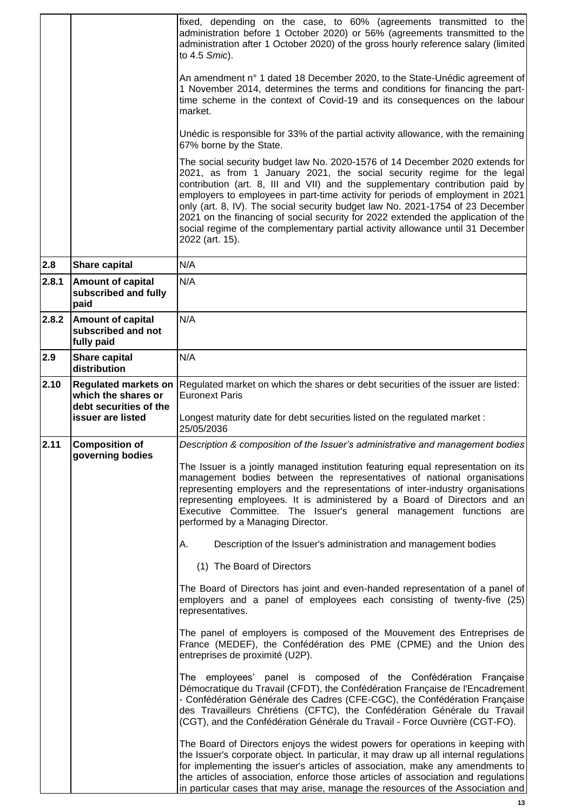|       |                                                                              | fixed, depending on the case, to 60% (agreements transmitted to the<br>administration before 1 October 2020) or 56% (agreements transmitted to the<br>administration after 1 October 2020) of the gross hourly reference salary (limited<br>to 4.5 Smic).                                                                                                                                                                                                                                                                                                                                              |
|-------|------------------------------------------------------------------------------|--------------------------------------------------------------------------------------------------------------------------------------------------------------------------------------------------------------------------------------------------------------------------------------------------------------------------------------------------------------------------------------------------------------------------------------------------------------------------------------------------------------------------------------------------------------------------------------------------------|
|       |                                                                              | An amendment n° 1 dated 18 December 2020, to the State-Unédic agreement of<br>1 November 2014, determines the terms and conditions for financing the part-<br>time scheme in the context of Covid-19 and its consequences on the labour<br>market.                                                                                                                                                                                                                                                                                                                                                     |
|       |                                                                              | Unédic is responsible for 33% of the partial activity allowance, with the remaining<br>67% borne by the State.                                                                                                                                                                                                                                                                                                                                                                                                                                                                                         |
|       |                                                                              | The social security budget law No. 2020-1576 of 14 December 2020 extends for<br>2021, as from 1 January 2021, the social security regime for the legal<br>contribution (art. 8, III and VII) and the supplementary contribution paid by<br>employers to employees in part-time activity for periods of employment in 2021<br>only (art. 8, IV). The social security budget law No. 2021-1754 of 23 December<br>2021 on the financing of social security for 2022 extended the application of the<br>social regime of the complementary partial activity allowance until 31 December<br>2022 (art. 15). |
| 2.8   | Share capital                                                                | N/A                                                                                                                                                                                                                                                                                                                                                                                                                                                                                                                                                                                                    |
| 2.8.1 | <b>Amount of capital</b><br>subscribed and fully<br>paid                     | N/A                                                                                                                                                                                                                                                                                                                                                                                                                                                                                                                                                                                                    |
| 2.8.2 | <b>Amount of capital</b><br>subscribed and not<br>fully paid                 | N/A                                                                                                                                                                                                                                                                                                                                                                                                                                                                                                                                                                                                    |
| 2.9   | <b>Share capital</b><br>distribution                                         | N/A                                                                                                                                                                                                                                                                                                                                                                                                                                                                                                                                                                                                    |
| 2.10  | <b>Regulated markets on</b><br>which the shares or<br>debt securities of the | Regulated market on which the shares or debt securities of the issuer are listed:<br><b>Euronext Paris</b>                                                                                                                                                                                                                                                                                                                                                                                                                                                                                             |
|       | issuer are listed                                                            | Longest maturity date for debt securities listed on the regulated market:<br>25/05/2036                                                                                                                                                                                                                                                                                                                                                                                                                                                                                                                |
| 2.11  | Composition of<br>governing bodies                                           | Description & composition of the Issuer's administrative and management bodies                                                                                                                                                                                                                                                                                                                                                                                                                                                                                                                         |
|       |                                                                              | The Issuer is a jointly managed institution featuring equal representation on its<br>management bodies between the representatives of national organisations<br>representing employers and the representations of inter-industry organisations<br>representing employees. It is administered by a Board of Directors and an<br>Executive Committee. The Issuer's general management functions are<br>performed by a Managing Director.                                                                                                                                                                 |
|       |                                                                              | А.<br>Description of the Issuer's administration and management bodies                                                                                                                                                                                                                                                                                                                                                                                                                                                                                                                                 |
|       |                                                                              | (1) The Board of Directors                                                                                                                                                                                                                                                                                                                                                                                                                                                                                                                                                                             |
|       |                                                                              | The Board of Directors has joint and even-handed representation of a panel of<br>employers and a panel of employees each consisting of twenty-five (25)<br>representatives.                                                                                                                                                                                                                                                                                                                                                                                                                            |
|       |                                                                              | The panel of employers is composed of the Mouvement des Entreprises de<br>France (MEDEF), the Confédération des PME (CPME) and the Union des<br>entreprises de proximité (U2P).                                                                                                                                                                                                                                                                                                                                                                                                                        |
|       |                                                                              | The employees' panel is composed of the Confédération Française<br>Démocratique du Travail (CFDT), the Confédération Française de l'Encadrement<br>- Confédération Générale des Cadres (CFE-CGC), the Confédération Française<br>des Travailleurs Chrétiens (CFTC), the Confédération Générale du Travail<br>(CGT), and the Confédération Générale du Travail - Force Ouvrière (CGT-FO).                                                                                                                                                                                                               |
|       |                                                                              | The Board of Directors enjoys the widest powers for operations in keeping with<br>the Issuer's corporate object. In particular, it may draw up all internal regulations<br>for implementing the issuer's articles of association, make any amendments to<br>the articles of association, enforce those articles of association and regulations<br>in particular cases that may arise, manage the resources of the Association and                                                                                                                                                                      |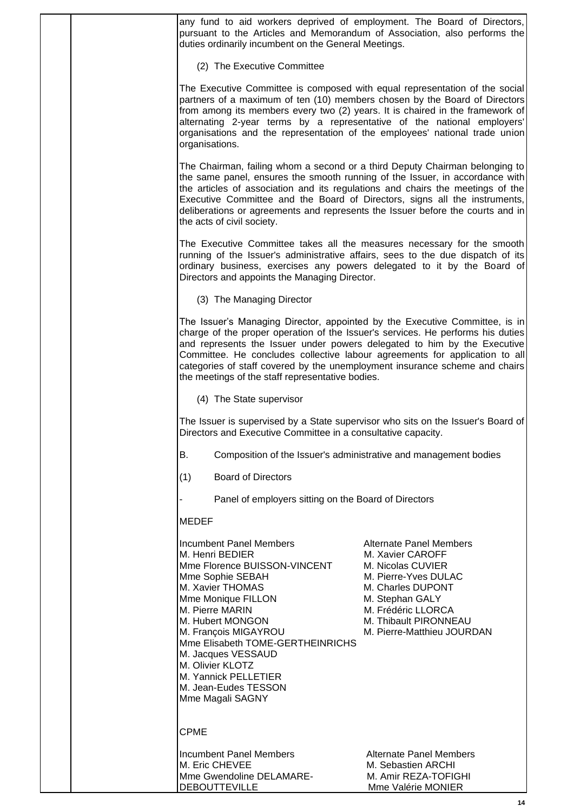any fund to aid workers deprived of employment. The Board of Directors, pursuant to the Articles and Memorandum of Association, also performs the duties ordinarily incumbent on the General Meetings. (2) The Executive Committee The Executive Committee is composed with equal representation of the social partners of a maximum of ten (10) members chosen by the Board of Directors from among its members every two (2) years. It is chaired in the framework of alternating 2-year terms by a representative of the national employers' organisations and the representation of the employees' national trade union organisations. The Chairman, failing whom a second or a third Deputy Chairman belonging to the same panel, ensures the smooth running of the Issuer, in accordance with the articles of association and its regulations and chairs the meetings of the Executive Committee and the Board of Directors, signs all the instruments, deliberations or agreements and represents the Issuer before the courts and in the acts of civil society. The Executive Committee takes all the measures necessary for the smooth running of the Issuer's administrative affairs, sees to the due dispatch of its ordinary business, exercises any powers delegated to it by the Board of Directors and appoints the Managing Director. (3) The Managing Director The Issuer's Managing Director, appointed by the Executive Committee, is in charge of the proper operation of the Issuer's services. He performs his duties and represents the Issuer under powers delegated to him by the Executive Committee. He concludes collective labour agreements for application to all categories of staff covered by the unemployment insurance scheme and chairs the meetings of the staff representative bodies. (4) The State supervisor The Issuer is supervised by a State supervisor who sits on the Issuer's Board of Directors and Executive Committee in a consultative capacity. B. Composition of the Issuer's administrative and management bodies (1) Board of Directors Panel of employers sitting on the Board of Directors MEDEF Incumbent Panel Members **Alternate Panel Members** M. Henri BEDIER M. Xavier CAROFF Mme Florence BUISSON-VINCENT M. Nicolas CUVIER Mme Sophie SEBAH M. Pierre-Yves DULAC M. Xavier THOMAS M. Charles DUPONT Mme Monique FILLON M. Stephan GALY M. Pierre MARIN M. Frédéric LLORCA M. Hubert MONGON M. Thibault PIRONNEAU M. François MIGAYROU M. Pierre-Matthieu JOURDAN Mme Elisabeth TOME-GERTHEINRICHS M. Jacques VESSAUD M. Olivier KLOTZ M. Yannick PELLETIER M. Jean-Eudes TESSON Mme Magali SAGNY CPME Incumbent Panel Members Alternate Panel Members M. Eric CHEVEE M. Sebastien ARCHI Mme Gwendoline DELAMARE- M. Amir REZA-TOFIGHI DEBOUTTEVILLE MONIER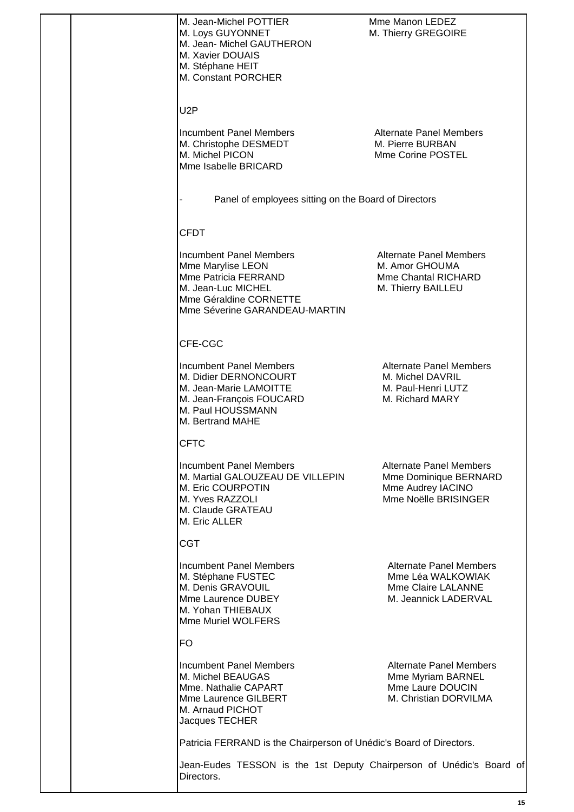|  | M. Jean-Michel POTTIER<br>M. Loys GUYONNET<br>M. Jean- Michel GAUTHERON<br>M. Xavier DOUAIS<br>M. Stéphane HEIT<br>M. Constant PORCHER                       | Mme Manon LEDEZ<br>M. Thierry GREGOIRE                                                               |
|--|--------------------------------------------------------------------------------------------------------------------------------------------------------------|------------------------------------------------------------------------------------------------------|
|  | U <sub>2</sub> P                                                                                                                                             |                                                                                                      |
|  | Incumbent Panel Members<br>M. Christophe DESMEDT<br>M. Michel PICON<br>Mme Isabelle BRICARD                                                                  | Alternate Panel Members<br>M. Pierre BURBAN<br>Mme Corine POSTEL                                     |
|  | Panel of employees sitting on the Board of Directors                                                                                                         |                                                                                                      |
|  | <b>CFDT</b>                                                                                                                                                  |                                                                                                      |
|  | <b>Incumbent Panel Members</b><br>Mme Marylise LEON<br>Mme Patricia FERRAND<br>M. Jean-Luc MICHEL<br>Mme Géraldine CORNETTE<br>Mme Séverine GARANDEAU-MARTIN | <b>Alternate Panel Members</b><br>M. Amor GHOUMA<br><b>Mme Chantal RICHARD</b><br>M. Thierry BAILLEU |
|  | CFE-CGC                                                                                                                                                      |                                                                                                      |
|  | <b>Incumbent Panel Members</b><br>M. Didier DERNONCOURT<br>M. Jean-Marie LAMOITTE<br>M. Jean-François FOUCARD<br>M. Paul HOUSSMANN<br>M. Bertrand MAHE       | <b>Alternate Panel Members</b><br>M. Michel DAVRIL<br>M. Paul-Henri LUTZ<br>M. Richard MARY          |
|  | <b>CFTC</b>                                                                                                                                                  |                                                                                                      |
|  | <b>Incumbent Panel Members</b><br>M. Martial GALOUZEAU DE VILLEPIN<br>M. Eric COURPOTIN<br>M. Yves RAZZOLI<br>M. Claude GRATEAU<br>M. Eric ALLER             | <b>Alternate Panel Members</b><br>Mme Dominique BERNARD<br>Mme Audrey IACINO<br>Mme Noëlle BRISINGER |
|  | <b>CGT</b>                                                                                                                                                   |                                                                                                      |
|  | <b>Incumbent Panel Members</b><br>M. Stéphane FUSTEC<br>M. Denis GRAVOUIL<br>Mme Laurence DUBEY<br>M. Yohan THIEBAUX<br>Mme Muriel WOLFERS                   | <b>Alternate Panel Members</b><br>Mme Léa WALKOWIAK<br>Mme Claire LALANNE<br>M. Jeannick LADERVAL    |
|  | <b>FO</b>                                                                                                                                                    |                                                                                                      |
|  | <b>Incumbent Panel Members</b><br>M. Michel BEAUGAS<br>Mme. Nathalie CAPART<br>Mme Laurence GILBERT<br>M. Arnaud PICHOT<br>Jacques TECHER                    | <b>Alternate Panel Members</b><br>Mme Myriam BARNEL<br>Mme Laure DOUCIN<br>M. Christian DORVILMA     |
|  | Patricia FERRAND is the Chairperson of Unédic's Board of Directors.                                                                                          |                                                                                                      |
|  | Jean-Eudes TESSON is the 1st Deputy Chairperson of Unédic's Board of<br>Directors.                                                                           |                                                                                                      |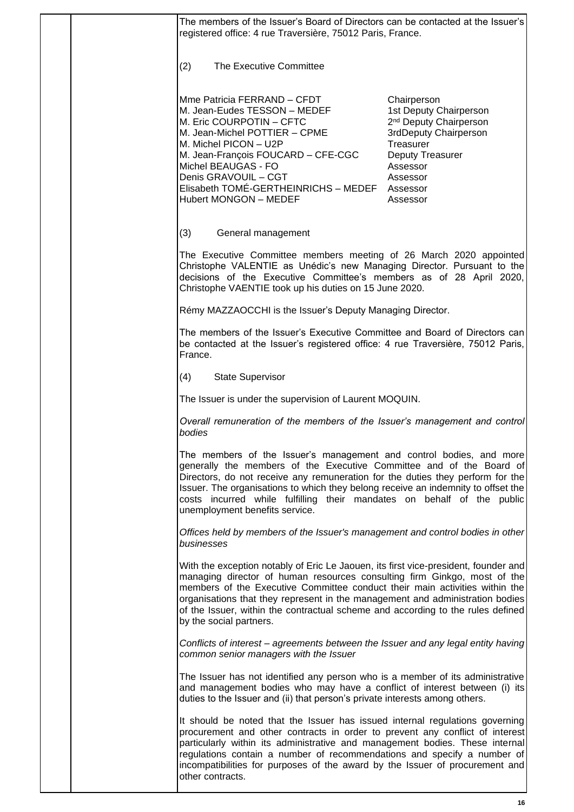|  | The members of the Issuer's Board of Directors can be contacted at the Issuer's<br>registered office: 4 rue Traversière, 75012 Paris, France.                                                                                                                                                                                                                                                                                                 |                                                                                                                                                                                       |
|--|-----------------------------------------------------------------------------------------------------------------------------------------------------------------------------------------------------------------------------------------------------------------------------------------------------------------------------------------------------------------------------------------------------------------------------------------------|---------------------------------------------------------------------------------------------------------------------------------------------------------------------------------------|
|  | The Executive Committee<br>(2)                                                                                                                                                                                                                                                                                                                                                                                                                |                                                                                                                                                                                       |
|  | Mme Patricia FERRAND - CFDT<br>M. Jean-Eudes TESSON - MEDEF<br>M. Eric COURPOTIN - CFTC<br>M. Jean-Michel POTTIER - CPME<br>M. Michel PICON - U2P<br>M. Jean-François FOUCARD - CFE-CGC<br>Michel BEAUGAS - FO<br>Denis GRAVOUIL - CGT<br>Elisabeth TOMÉ-GERTHEINRICHS - MEDEF<br><b>Hubert MONGON - MEDEF</b>                                                                                                                                | Chairperson<br>1st Deputy Chairperson<br>2 <sup>nd</sup> Deputy Chairperson<br>3rdDeputy Chairperson<br>Treasurer<br>Deputy Treasurer<br>Assessor<br>Assessor<br>Assessor<br>Assessor |
|  | (3)<br>General management                                                                                                                                                                                                                                                                                                                                                                                                                     |                                                                                                                                                                                       |
|  | The Executive Committee members meeting of 26 March 2020 appointed<br>Christophe VALENTIE as Unédic's new Managing Director. Pursuant to the<br>decisions of the Executive Committee's members as of 28 April 2020,<br>Christophe VAENTIE took up his duties on 15 June 2020.                                                                                                                                                                 |                                                                                                                                                                                       |
|  | Rémy MAZZAOCCHI is the Issuer's Deputy Managing Director.                                                                                                                                                                                                                                                                                                                                                                                     |                                                                                                                                                                                       |
|  | The members of the Issuer's Executive Committee and Board of Directors can<br>be contacted at the Issuer's registered office: 4 rue Traversière, 75012 Paris,<br>France.                                                                                                                                                                                                                                                                      |                                                                                                                                                                                       |
|  | <b>State Supervisor</b><br>(4)                                                                                                                                                                                                                                                                                                                                                                                                                |                                                                                                                                                                                       |
|  | The Issuer is under the supervision of Laurent MOQUIN.                                                                                                                                                                                                                                                                                                                                                                                        |                                                                                                                                                                                       |
|  | Overall remuneration of the members of the Issuer's management and control<br>bodies                                                                                                                                                                                                                                                                                                                                                          |                                                                                                                                                                                       |
|  | The members of the Issuer's management and control bodies, and more<br>generally the members of the Executive Committee and of the Board of<br>Directors, do not receive any remuneration for the duties they perform for the<br>Issuer. The organisations to which they belong receive an indemnity to offset the<br>costs incurred while fulfilling their mandates on behalf of the public<br>unemployment benefits service.                |                                                                                                                                                                                       |
|  | Offices held by members of the Issuer's management and control bodies in other<br>businesses                                                                                                                                                                                                                                                                                                                                                  |                                                                                                                                                                                       |
|  | With the exception notably of Eric Le Jaouen, its first vice-president, founder and<br>managing director of human resources consulting firm Ginkgo, most of the<br>members of the Executive Committee conduct their main activities within the<br>organisations that they represent in the management and administration bodies<br>of the Issuer, within the contractual scheme and according to the rules defined<br>by the social partners. |                                                                                                                                                                                       |
|  | Conflicts of interest – agreements between the Issuer and any legal entity having<br>common senior managers with the Issuer                                                                                                                                                                                                                                                                                                                   |                                                                                                                                                                                       |
|  | The Issuer has not identified any person who is a member of its administrative<br>and management bodies who may have a conflict of interest between (i) its<br>duties to the Issuer and (ii) that person's private interests among others.                                                                                                                                                                                                    |                                                                                                                                                                                       |
|  | It should be noted that the Issuer has issued internal regulations governing<br>procurement and other contracts in order to prevent any conflict of interest<br>particularly within its administrative and management bodies. These internal<br>regulations contain a number of recommendations and specify a number of<br>incompatibilities for purposes of the award by the Issuer of procurement and<br>other contracts.                   |                                                                                                                                                                                       |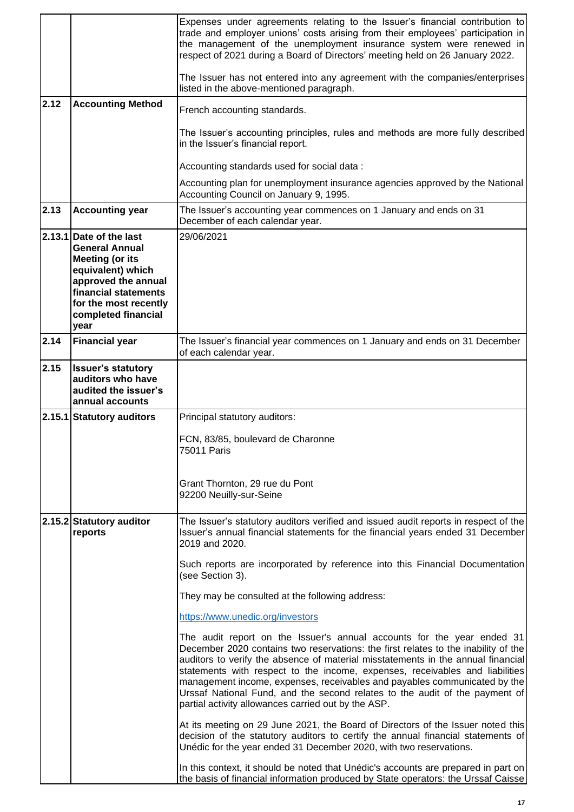|      |                                                                                                                                                                                                        | Expenses under agreements relating to the Issuer's financial contribution to<br>trade and employer unions' costs arising from their employees' participation in<br>the management of the unemployment insurance system were renewed in<br>respect of 2021 during a Board of Directors' meeting held on 26 January 2022.                                                                                                                                                                                                                             |
|------|--------------------------------------------------------------------------------------------------------------------------------------------------------------------------------------------------------|-----------------------------------------------------------------------------------------------------------------------------------------------------------------------------------------------------------------------------------------------------------------------------------------------------------------------------------------------------------------------------------------------------------------------------------------------------------------------------------------------------------------------------------------------------|
|      |                                                                                                                                                                                                        | The Issuer has not entered into any agreement with the companies/enterprises<br>listed in the above-mentioned paragraph.                                                                                                                                                                                                                                                                                                                                                                                                                            |
| 2.12 | <b>Accounting Method</b>                                                                                                                                                                               | French accounting standards.                                                                                                                                                                                                                                                                                                                                                                                                                                                                                                                        |
|      |                                                                                                                                                                                                        | The Issuer's accounting principles, rules and methods are more fully described<br>in the Issuer's financial report.                                                                                                                                                                                                                                                                                                                                                                                                                                 |
|      |                                                                                                                                                                                                        | Accounting standards used for social data:                                                                                                                                                                                                                                                                                                                                                                                                                                                                                                          |
|      |                                                                                                                                                                                                        | Accounting plan for unemployment insurance agencies approved by the National<br>Accounting Council on January 9, 1995.                                                                                                                                                                                                                                                                                                                                                                                                                              |
| 2.13 | <b>Accounting year</b>                                                                                                                                                                                 | The Issuer's accounting year commences on 1 January and ends on 31<br>December of each calendar year.                                                                                                                                                                                                                                                                                                                                                                                                                                               |
|      | 2.13.1 Date of the last<br><b>General Annual</b><br><b>Meeting (or its</b><br>equivalent) which<br>approved the annual<br>financial statements<br>for the most recently<br>completed financial<br>year | 29/06/2021                                                                                                                                                                                                                                                                                                                                                                                                                                                                                                                                          |
| 2.14 | <b>Financial year</b>                                                                                                                                                                                  | The Issuer's financial year commences on 1 January and ends on 31 December<br>of each calendar year.                                                                                                                                                                                                                                                                                                                                                                                                                                                |
| 2.15 | <b>Issuer's statutory</b><br>auditors who have<br>audited the issuer's<br>annual accounts                                                                                                              |                                                                                                                                                                                                                                                                                                                                                                                                                                                                                                                                                     |
|      | 2.15.1 Statutory auditors                                                                                                                                                                              | Principal statutory auditors:                                                                                                                                                                                                                                                                                                                                                                                                                                                                                                                       |
|      |                                                                                                                                                                                                        | FCN, 83/85, boulevard de Charonne<br>75011 Paris                                                                                                                                                                                                                                                                                                                                                                                                                                                                                                    |
|      |                                                                                                                                                                                                        | Grant Thornton, 29 rue du Pont<br>92200 Neuilly-sur-Seine                                                                                                                                                                                                                                                                                                                                                                                                                                                                                           |
|      | 2.15.2 Statutory auditor<br>reports                                                                                                                                                                    | The Issuer's statutory auditors verified and issued audit reports in respect of the<br>Issuer's annual financial statements for the financial years ended 31 December<br>2019 and 2020.                                                                                                                                                                                                                                                                                                                                                             |
|      |                                                                                                                                                                                                        | Such reports are incorporated by reference into this Financial Documentation<br>(see Section 3).                                                                                                                                                                                                                                                                                                                                                                                                                                                    |
|      |                                                                                                                                                                                                        | They may be consulted at the following address:                                                                                                                                                                                                                                                                                                                                                                                                                                                                                                     |
|      |                                                                                                                                                                                                        | https://www.unedic.org/investors                                                                                                                                                                                                                                                                                                                                                                                                                                                                                                                    |
|      |                                                                                                                                                                                                        | The audit report on the Issuer's annual accounts for the year ended 31<br>December 2020 contains two reservations: the first relates to the inability of the<br>auditors to verify the absence of material misstatements in the annual financial<br>statements with respect to the income, expenses, receivables and liabilities<br>management income, expenses, receivables and payables communicated by the<br>Urssaf National Fund, and the second relates to the audit of the payment of<br>partial activity allowances carried out by the ASP. |
|      |                                                                                                                                                                                                        | At its meeting on 29 June 2021, the Board of Directors of the Issuer noted this<br>decision of the statutory auditors to certify the annual financial statements of<br>Unédic for the year ended 31 December 2020, with two reservations.                                                                                                                                                                                                                                                                                                           |
|      |                                                                                                                                                                                                        | In this context, it should be noted that Unédic's accounts are prepared in part on<br>the basis of financial information produced by State operators: the Urssaf Caisse                                                                                                                                                                                                                                                                                                                                                                             |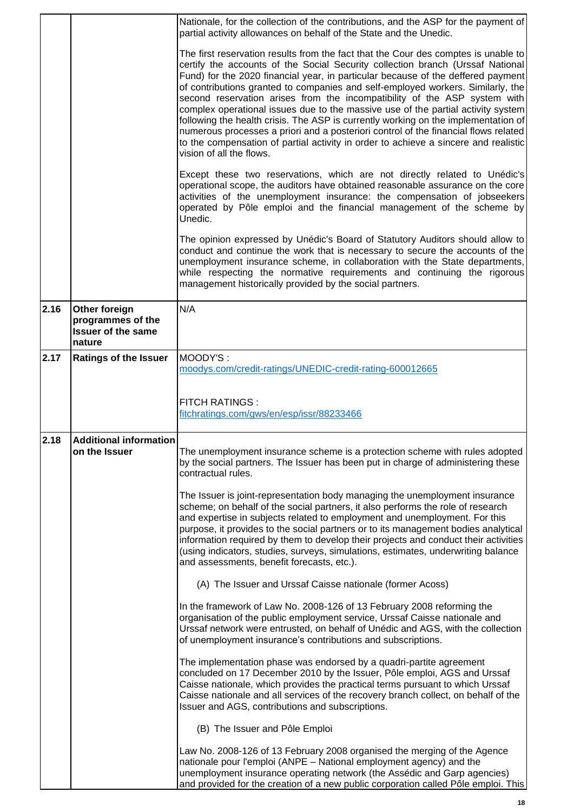|      |                                                                           | Nationale, for the collection of the contributions, and the ASP for the payment of<br>partial activity allowances on behalf of the State and the Unedic.                                                                                                                                                                                                                                                                                                                                                                                                                                                                                                                                                                                                                                                     |
|------|---------------------------------------------------------------------------|--------------------------------------------------------------------------------------------------------------------------------------------------------------------------------------------------------------------------------------------------------------------------------------------------------------------------------------------------------------------------------------------------------------------------------------------------------------------------------------------------------------------------------------------------------------------------------------------------------------------------------------------------------------------------------------------------------------------------------------------------------------------------------------------------------------|
|      |                                                                           | The first reservation results from the fact that the Cour des comptes is unable to<br>certify the accounts of the Social Security collection branch (Urssaf National<br>Fund) for the 2020 financial year, in particular because of the deffered payment<br>of contributions granted to companies and self-employed workers. Similarly, the<br>second reservation arises from the incompatibility of the ASP system with<br>complex operational issues due to the massive use of the partial activity system<br>following the health crisis. The ASP is currently working on the implementation of<br>numerous processes a priori and a posteriori control of the financial flows related<br>to the compensation of partial activity in order to achieve a sincere and realistic<br>vision of all the flows. |
|      |                                                                           | Except these two reservations, which are not directly related to Unédic's<br>operational scope, the auditors have obtained reasonable assurance on the core<br>activities of the unemployment insurance: the compensation of jobseekers<br>operated by Pôle emploi and the financial management of the scheme by<br>Unedic.                                                                                                                                                                                                                                                                                                                                                                                                                                                                                  |
|      |                                                                           | The opinion expressed by Unédic's Board of Statutory Auditors should allow to<br>conduct and continue the work that is necessary to secure the accounts of the<br>unemployment insurance scheme, in collaboration with the State departments,<br>while respecting the normative requirements and continuing the rigorous<br>management historically provided by the social partners.                                                                                                                                                                                                                                                                                                                                                                                                                         |
| 2.16 | Other foreign<br>programmes of the<br><b>Issuer of the same</b><br>nature | N/A                                                                                                                                                                                                                                                                                                                                                                                                                                                                                                                                                                                                                                                                                                                                                                                                          |
| 2.17 | <b>Ratings of the Issuer</b>                                              | MOODY'S:<br>moodys.com/credit-ratings/UNEDIC-credit-rating-600012665                                                                                                                                                                                                                                                                                                                                                                                                                                                                                                                                                                                                                                                                                                                                         |
|      |                                                                           | <b>FITCH RATINGS:</b><br>fitchratings.com/gws/en/esp/issr/88233466                                                                                                                                                                                                                                                                                                                                                                                                                                                                                                                                                                                                                                                                                                                                           |
| 2.18 | <b>Additional information</b><br>on the Issuer                            | The unemployment insurance scheme is a protection scheme with rules adopted<br>by the social partners. The Issuer has been put in charge of administering these<br>contractual rules.                                                                                                                                                                                                                                                                                                                                                                                                                                                                                                                                                                                                                        |
|      |                                                                           | The Issuer is joint-representation body managing the unemployment insurance<br>scheme; on behalf of the social partners, it also performs the role of research<br>and expertise in subjects related to employment and unemployment. For this<br>purpose, it provides to the social partners or to its management bodies analytical<br>information required by them to develop their projects and conduct their activities<br>(using indicators, studies, surveys, simulations, estimates, underwriting balance<br>and assessments, benefit forecasts, etc.).                                                                                                                                                                                                                                                 |
|      |                                                                           | (A) The Issuer and Urssaf Caisse nationale (former Acoss)                                                                                                                                                                                                                                                                                                                                                                                                                                                                                                                                                                                                                                                                                                                                                    |
|      |                                                                           | In the framework of Law No. 2008-126 of 13 February 2008 reforming the<br>organisation of the public employment service, Urssaf Caisse nationale and<br>Urssaf network were entrusted, on behalf of Unédic and AGS, with the collection<br>of unemployment insurance's contributions and subscriptions.                                                                                                                                                                                                                                                                                                                                                                                                                                                                                                      |
|      |                                                                           | The implementation phase was endorsed by a quadri-partite agreement<br>concluded on 17 December 2010 by the Issuer, Pôle emploi, AGS and Urssaf<br>Caisse nationale, which provides the practical terms pursuant to which Urssaf<br>Caisse nationale and all services of the recovery branch collect, on behalf of the<br>Issuer and AGS, contributions and subscriptions.                                                                                                                                                                                                                                                                                                                                                                                                                                   |
|      |                                                                           | (B) The Issuer and Pôle Emploi                                                                                                                                                                                                                                                                                                                                                                                                                                                                                                                                                                                                                                                                                                                                                                               |
|      |                                                                           | Law No. 2008-126 of 13 February 2008 organised the merging of the Agence<br>nationale pour l'emploi (ANPE - National employment agency) and the<br>unemployment insurance operating network (the Assédic and Garp agencies)<br>and provided for the creation of a new public corporation called Pôle emploi. This                                                                                                                                                                                                                                                                                                                                                                                                                                                                                            |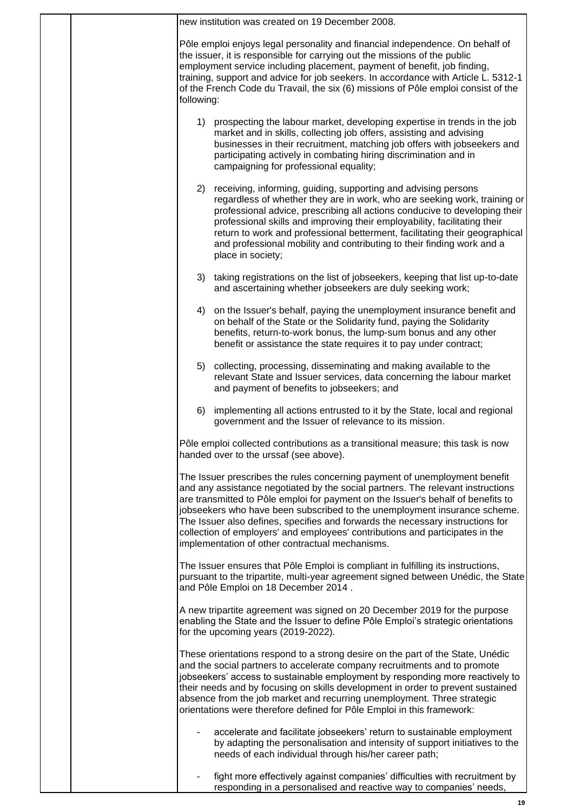|  |            | new institution was created on 19 December 2008.                                                                                                                                                                                                                                                                                                                                                                                                                                                                                                     |
|--|------------|------------------------------------------------------------------------------------------------------------------------------------------------------------------------------------------------------------------------------------------------------------------------------------------------------------------------------------------------------------------------------------------------------------------------------------------------------------------------------------------------------------------------------------------------------|
|  | following: | Pôle emploi enjoys legal personality and financial independence. On behalf of<br>the issuer, it is responsible for carrying out the missions of the public<br>employment service including placement, payment of benefit, job finding,<br>training, support and advice for job seekers. In accordance with Article L. 5312-1<br>of the French Code du Travail, the six (6) missions of Pôle emploi consist of the                                                                                                                                    |
|  |            | 1) prospecting the labour market, developing expertise in trends in the job<br>market and in skills, collecting job offers, assisting and advising<br>businesses in their recruitment, matching job offers with jobseekers and<br>participating actively in combating hiring discrimination and in<br>campaigning for professional equality;                                                                                                                                                                                                         |
|  | 2)         | receiving, informing, guiding, supporting and advising persons<br>regardless of whether they are in work, who are seeking work, training or<br>professional advice, prescribing all actions conducive to developing their<br>professional skills and improving their employability, facilitating their<br>return to work and professional betterment, facilitating their geographical<br>and professional mobility and contributing to their finding work and a<br>place in society;                                                                 |
|  |            | 3) taking registrations on the list of jobseekers, keeping that list up-to-date<br>and ascertaining whether jobseekers are duly seeking work;                                                                                                                                                                                                                                                                                                                                                                                                        |
|  | 4)         | on the Issuer's behalf, paying the unemployment insurance benefit and<br>on behalf of the State or the Solidarity fund, paying the Solidarity<br>benefits, return-to-work bonus, the lump-sum bonus and any other<br>benefit or assistance the state requires it to pay under contract;                                                                                                                                                                                                                                                              |
|  | 5)         | collecting, processing, disseminating and making available to the<br>relevant State and Issuer services, data concerning the labour market<br>and payment of benefits to jobseekers; and                                                                                                                                                                                                                                                                                                                                                             |
|  | 6)         | implementing all actions entrusted to it by the State, local and regional<br>government and the Issuer of relevance to its mission.                                                                                                                                                                                                                                                                                                                                                                                                                  |
|  |            | Pôle emploi collected contributions as a transitional measure; this task is now<br>handed over to the urssaf (see above).                                                                                                                                                                                                                                                                                                                                                                                                                            |
|  |            | The Issuer prescribes the rules concerning payment of unemployment benefit<br>and any assistance negotiated by the social partners. The relevant instructions<br>are transmitted to Pôle emploi for payment on the Issuer's behalf of benefits to<br>jobseekers who have been subscribed to the unemployment insurance scheme.<br>The Issuer also defines, specifies and forwards the necessary instructions for<br>collection of employers' and employees' contributions and participates in the<br>implementation of other contractual mechanisms. |
|  |            | The Issuer ensures that Pôle Emploi is compliant in fulfilling its instructions,<br>pursuant to the tripartite, multi-year agreement signed between Unédic, the State<br>and Pôle Emploi on 18 December 2014.                                                                                                                                                                                                                                                                                                                                        |
|  |            | A new tripartite agreement was signed on 20 December 2019 for the purpose<br>enabling the State and the Issuer to define Pôle Emploi's strategic orientations<br>for the upcoming years (2019-2022).                                                                                                                                                                                                                                                                                                                                                 |
|  |            | These orientations respond to a strong desire on the part of the State, Unédic<br>and the social partners to accelerate company recruitments and to promote<br>jobseekers' access to sustainable employment by responding more reactively to<br>their needs and by focusing on skills development in order to prevent sustained<br>absence from the job market and recurring unemployment. Three strategic<br>orientations were therefore defined for Pôle Emploi in this framework:                                                                 |
|  |            | accelerate and facilitate jobseekers' return to sustainable employment<br>by adapting the personalisation and intensity of support initiatives to the<br>needs of each individual through his/her career path;                                                                                                                                                                                                                                                                                                                                       |
|  |            | fight more effectively against companies' difficulties with recruitment by<br>responding in a personalised and reactive way to companies' needs,                                                                                                                                                                                                                                                                                                                                                                                                     |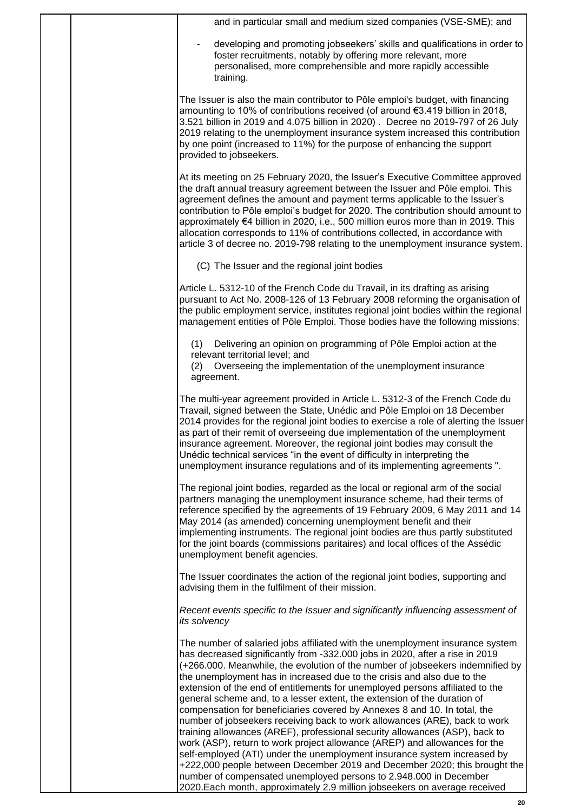|  | and in particular small and medium sized companies (VSE-SME); and                                                                                                                                                                                                                                                                                                                                                                                                                                                                                                                                                                                                                                                                                                                                                                                                                                                                                                        |
|--|--------------------------------------------------------------------------------------------------------------------------------------------------------------------------------------------------------------------------------------------------------------------------------------------------------------------------------------------------------------------------------------------------------------------------------------------------------------------------------------------------------------------------------------------------------------------------------------------------------------------------------------------------------------------------------------------------------------------------------------------------------------------------------------------------------------------------------------------------------------------------------------------------------------------------------------------------------------------------|
|  | developing and promoting jobseekers' skills and qualifications in order to<br>foster recruitments, notably by offering more relevant, more<br>personalised, more comprehensible and more rapidly accessible<br>training.                                                                                                                                                                                                                                                                                                                                                                                                                                                                                                                                                                                                                                                                                                                                                 |
|  | The Issuer is also the main contributor to Pôle emploi's budget, with financing<br>amounting to 10% of contributions received (of around €3.419 billion in 2018,<br>3.521 billion in 2019 and 4.075 billion in 2020). Decree no 2019-797 of 26 July<br>2019 relating to the unemployment insurance system increased this contribution<br>by one point (increased to 11%) for the purpose of enhancing the support<br>provided to jobseekers.                                                                                                                                                                                                                                                                                                                                                                                                                                                                                                                             |
|  | At its meeting on 25 February 2020, the Issuer's Executive Committee approved<br>the draft annual treasury agreement between the Issuer and Pôle emploi. This<br>agreement defines the amount and payment terms applicable to the Issuer's<br>contribution to Pôle emploi's budget for 2020. The contribution should amount to<br>approximately €4 billion in 2020, i.e., 500 million euros more than in 2019. This<br>allocation corresponds to 11% of contributions collected, in accordance with<br>article 3 of decree no. 2019-798 relating to the unemployment insurance system.                                                                                                                                                                                                                                                                                                                                                                                   |
|  | (C) The Issuer and the regional joint bodies                                                                                                                                                                                                                                                                                                                                                                                                                                                                                                                                                                                                                                                                                                                                                                                                                                                                                                                             |
|  | Article L. 5312-10 of the French Code du Travail, in its drafting as arising<br>pursuant to Act No. 2008-126 of 13 February 2008 reforming the organisation of<br>the public employment service, institutes regional joint bodies within the regional<br>management entities of Pôle Emploi. Those bodies have the following missions:                                                                                                                                                                                                                                                                                                                                                                                                                                                                                                                                                                                                                                   |
|  | Delivering an opinion on programming of Pôle Emploi action at the<br>(1)<br>relevant territorial level; and<br>Overseeing the implementation of the unemployment insurance<br>(2)<br>agreement.                                                                                                                                                                                                                                                                                                                                                                                                                                                                                                                                                                                                                                                                                                                                                                          |
|  | The multi-year agreement provided in Article L. 5312-3 of the French Code du<br>Travail, signed between the State, Unédic and Pôle Emploi on 18 December<br>2014 provides for the regional joint bodies to exercise a role of alerting the Issuer<br>as part of their remit of overseeing due implementation of the unemployment<br>insurance agreement. Moreover, the regional joint bodies may consult the<br>Unédic technical services "in the event of difficulty in interpreting the<br>unemployment insurance regulations and of its implementing agreements".                                                                                                                                                                                                                                                                                                                                                                                                     |
|  | The regional joint bodies, regarded as the local or regional arm of the social<br>partners managing the unemployment insurance scheme, had their terms of<br>reference specified by the agreements of 19 February 2009, 6 May 2011 and 14<br>May 2014 (as amended) concerning unemployment benefit and their<br>implementing instruments. The regional joint bodies are thus partly substituted<br>for the joint boards (commissions paritaires) and local offices of the Assédic<br>unemployment benefit agencies.                                                                                                                                                                                                                                                                                                                                                                                                                                                      |
|  | The Issuer coordinates the action of the regional joint bodies, supporting and<br>advising them in the fulfilment of their mission.                                                                                                                                                                                                                                                                                                                                                                                                                                                                                                                                                                                                                                                                                                                                                                                                                                      |
|  | Recent events specific to the Issuer and significantly influencing assessment of<br>its solvency                                                                                                                                                                                                                                                                                                                                                                                                                                                                                                                                                                                                                                                                                                                                                                                                                                                                         |
|  | The number of salaried jobs affiliated with the unemployment insurance system<br>has decreased significantly from -332.000 jobs in 2020, after a rise in 2019<br>(+266.000. Meanwhile, the evolution of the number of jobseekers indemnified by<br>the unemployment has in increased due to the crisis and also due to the<br>extension of the end of entitlements for unemployed persons affiliated to the<br>general scheme and, to a lesser extent, the extension of the duration of<br>compensation for beneficiaries covered by Annexes 8 and 10. In total, the<br>number of jobseekers receiving back to work allowances (ARE), back to work<br>training allowances (AREF), professional security allowances (ASP), back to<br>work (ASP), return to work project allowance (AREP) and allowances for the<br>self-employed (ATI) under the unemployment insurance system increased by<br>+222,000 people between December 2019 and December 2020; this brought the |
|  | number of compensated unemployed persons to 2.948.000 in December<br>2020. Each month, approximately 2.9 million jobseekers on average received                                                                                                                                                                                                                                                                                                                                                                                                                                                                                                                                                                                                                                                                                                                                                                                                                          |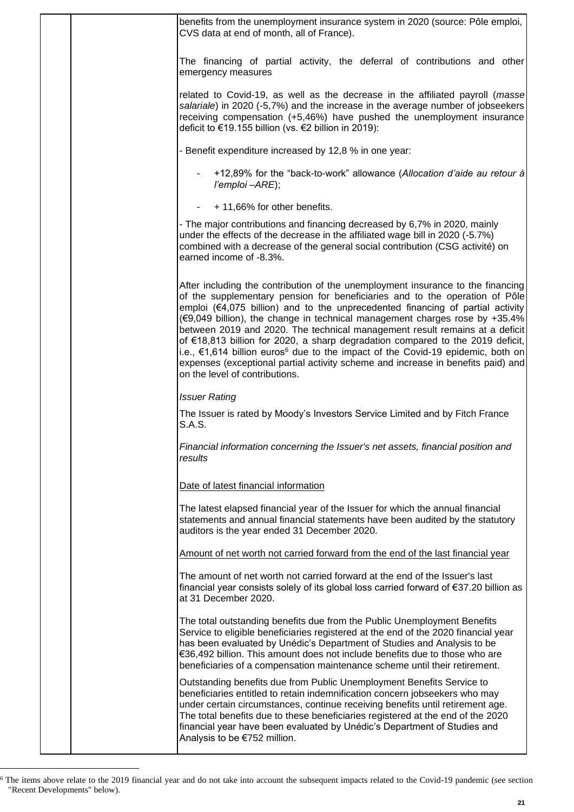| benefits from the unemployment insurance system in 2020 (source: Pôle emploi,<br>CVS data at end of month, all of France).                                                                                                                                                                                                                                                                                                                                                                                                                                                                                                                                                                                            |
|-----------------------------------------------------------------------------------------------------------------------------------------------------------------------------------------------------------------------------------------------------------------------------------------------------------------------------------------------------------------------------------------------------------------------------------------------------------------------------------------------------------------------------------------------------------------------------------------------------------------------------------------------------------------------------------------------------------------------|
| The financing of partial activity, the deferral of contributions and other<br>emergency measures                                                                                                                                                                                                                                                                                                                                                                                                                                                                                                                                                                                                                      |
| related to Covid-19, as well as the decrease in the affiliated payroll (masse<br>salariale) in 2020 (-5,7%) and the increase in the average number of jobseekers<br>receiving compensation (+5,46%) have pushed the unemployment insurance<br>deficit to €19.155 billion (vs. €2 billion in 2019):                                                                                                                                                                                                                                                                                                                                                                                                                    |
| - Benefit expenditure increased by 12,8 % in one year:                                                                                                                                                                                                                                                                                                                                                                                                                                                                                                                                                                                                                                                                |
| +12,89% for the "back-to-work" allowance (Allocation d'aide au retour à<br>l'emploi -ARE);                                                                                                                                                                                                                                                                                                                                                                                                                                                                                                                                                                                                                            |
| + 11,66% for other benefits.                                                                                                                                                                                                                                                                                                                                                                                                                                                                                                                                                                                                                                                                                          |
| - The major contributions and financing decreased by 6,7% in 2020, mainly<br>under the effects of the decrease in the affiliated wage bill in 2020 (-5.7%)<br>combined with a decrease of the general social contribution (CSG activité) on<br>earned income of -8.3%.                                                                                                                                                                                                                                                                                                                                                                                                                                                |
| After including the contribution of the unemployment insurance to the financing<br>of the supplementary pension for beneficiaries and to the operation of Pôle<br>emploi (€4,075 billion) and to the unprecedented financing of partial activity<br>(€9,049 billion), the change in technical management charges rose by +35.4%<br>between 2019 and 2020. The technical management result remains at a deficit<br>of €18,813 billion for 2020, a sharp degradation compared to the 2019 deficit,<br>i.e., €1,614 billion euros <sup>6</sup> due to the impact of the Covid-19 epidemic, both on<br>expenses (exceptional partial activity scheme and increase in benefits paid) and<br>on the level of contributions. |
| <b>Issuer Rating</b>                                                                                                                                                                                                                                                                                                                                                                                                                                                                                                                                                                                                                                                                                                  |
| The Issuer is rated by Moody's Investors Service Limited and by Fitch France<br>S.A.S.                                                                                                                                                                                                                                                                                                                                                                                                                                                                                                                                                                                                                                |
| Financial information concerning the Issuer's net assets, financial position and<br>results                                                                                                                                                                                                                                                                                                                                                                                                                                                                                                                                                                                                                           |
| Date of latest financial information                                                                                                                                                                                                                                                                                                                                                                                                                                                                                                                                                                                                                                                                                  |
| The latest elapsed financial year of the Issuer for which the annual financial<br>statements and annual financial statements have been audited by the statutory<br>auditors is the year ended 31 December 2020.                                                                                                                                                                                                                                                                                                                                                                                                                                                                                                       |
| Amount of net worth not carried forward from the end of the last financial year                                                                                                                                                                                                                                                                                                                                                                                                                                                                                                                                                                                                                                       |
| The amount of net worth not carried forward at the end of the Issuer's last<br>financial year consists solely of its global loss carried forward of €37.20 billion as<br>at 31 December 2020.                                                                                                                                                                                                                                                                                                                                                                                                                                                                                                                         |
| The total outstanding benefits due from the Public Unemployment Benefits<br>Service to eligible beneficiaries registered at the end of the 2020 financial year<br>has been evaluated by Unédic's Department of Studies and Analysis to be<br>€36,492 billion. This amount does not include benefits due to those who are<br>beneficiaries of a compensation maintenance scheme until their retirement.                                                                                                                                                                                                                                                                                                                |
| Outstanding benefits due from Public Unemployment Benefits Service to<br>beneficiaries entitled to retain indemnification concern jobseekers who may<br>under certain circumstances, continue receiving benefits until retirement age.<br>The total benefits due to these beneficiaries registered at the end of the 2020<br>financial year have been evaluated by Unédic's Department of Studies and<br>Analysis to be €752 million.                                                                                                                                                                                                                                                                                 |

 $6$  The items above relate to the 2019 financial year and do not take into account the subsequent impacts related to the Covid-19 pandemic (see section "Recent Developments" below).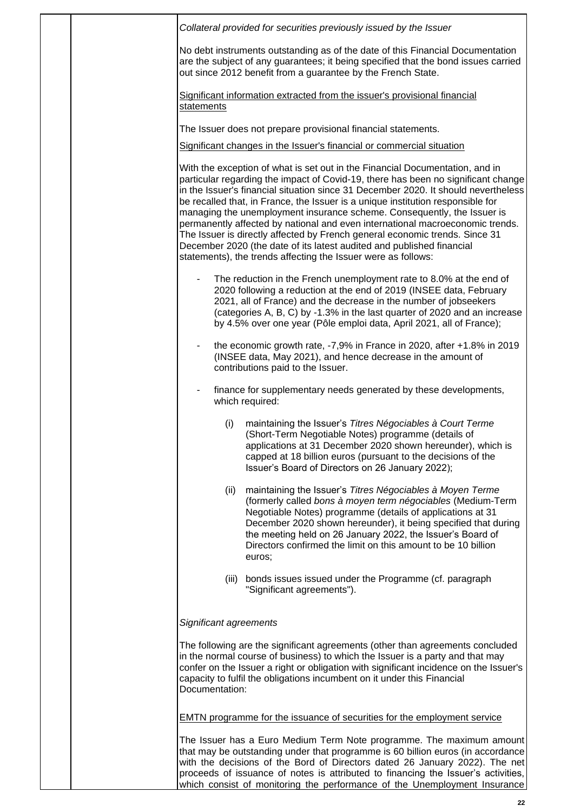|  | Collateral provided for securities previously issued by the Issuer                                                                                                                                                                                                                                                                                                                                                                                                                                                                                                                                                                                                                                                              |
|--|---------------------------------------------------------------------------------------------------------------------------------------------------------------------------------------------------------------------------------------------------------------------------------------------------------------------------------------------------------------------------------------------------------------------------------------------------------------------------------------------------------------------------------------------------------------------------------------------------------------------------------------------------------------------------------------------------------------------------------|
|  | No debt instruments outstanding as of the date of this Financial Documentation<br>are the subject of any guarantees; it being specified that the bond issues carried<br>out since 2012 benefit from a guarantee by the French State.                                                                                                                                                                                                                                                                                                                                                                                                                                                                                            |
|  | Significant information extracted from the issuer's provisional financial<br>statements                                                                                                                                                                                                                                                                                                                                                                                                                                                                                                                                                                                                                                         |
|  | The Issuer does not prepare provisional financial statements.                                                                                                                                                                                                                                                                                                                                                                                                                                                                                                                                                                                                                                                                   |
|  | Significant changes in the Issuer's financial or commercial situation                                                                                                                                                                                                                                                                                                                                                                                                                                                                                                                                                                                                                                                           |
|  | With the exception of what is set out in the Financial Documentation, and in<br>particular regarding the impact of Covid-19, there has been no significant change<br>in the Issuer's financial situation since 31 December 2020. It should nevertheless<br>be recalled that, in France, the Issuer is a unique institution responsible for<br>managing the unemployment insurance scheme. Consequently, the Issuer is<br>permanently affected by national and even international macroeconomic trends.<br>The Issuer is directly affected by French general economic trends. Since 31<br>December 2020 (the date of its latest audited and published financial<br>statements), the trends affecting the Issuer were as follows: |
|  | The reduction in the French unemployment rate to 8.0% at the end of<br>2020 following a reduction at the end of 2019 (INSEE data, February<br>2021, all of France) and the decrease in the number of jobseekers<br>(categories A, B, C) by -1.3% in the last quarter of 2020 and an increase<br>by 4.5% over one year (Pôle emploi data, April 2021, all of France);                                                                                                                                                                                                                                                                                                                                                            |
|  | the economic growth rate, -7,9% in France in 2020, after +1.8% in 2019<br>(INSEE data, May 2021), and hence decrease in the amount of<br>contributions paid to the Issuer.                                                                                                                                                                                                                                                                                                                                                                                                                                                                                                                                                      |
|  | finance for supplementary needs generated by these developments,<br>which required:                                                                                                                                                                                                                                                                                                                                                                                                                                                                                                                                                                                                                                             |
|  | (i)<br>maintaining the Issuer's Titres Négociables à Court Terme<br>(Short-Term Negotiable Notes) programme (details of<br>applications at 31 December 2020 shown hereunder), which is<br>capped at 18 billion euros (pursuant to the decisions of the<br>Issuer's Board of Directors on 26 January 2022);                                                                                                                                                                                                                                                                                                                                                                                                                      |
|  | maintaining the Issuer's Titres Négociables à Moyen Terme<br>(ii)<br>(formerly called bons à moyen term négociables (Medium-Term<br>Negotiable Notes) programme (details of applications at 31<br>December 2020 shown hereunder), it being specified that during<br>the meeting held on 26 January 2022, the Issuer's Board of<br>Directors confirmed the limit on this amount to be 10 billion<br>euros:                                                                                                                                                                                                                                                                                                                       |
|  | bonds issues issued under the Programme (cf. paragraph<br>(iii)<br>"Significant agreements").                                                                                                                                                                                                                                                                                                                                                                                                                                                                                                                                                                                                                                   |
|  | Significant agreements                                                                                                                                                                                                                                                                                                                                                                                                                                                                                                                                                                                                                                                                                                          |
|  | The following are the significant agreements (other than agreements concluded<br>in the normal course of business) to which the Issuer is a party and that may<br>confer on the Issuer a right or obligation with significant incidence on the Issuer's<br>capacity to fulfil the obligations incumbent on it under this Financial<br>Documentation:                                                                                                                                                                                                                                                                                                                                                                            |
|  | <b>EMTN</b> programme for the issuance of securities for the employment service                                                                                                                                                                                                                                                                                                                                                                                                                                                                                                                                                                                                                                                 |
|  | The Issuer has a Euro Medium Term Note programme. The maximum amount<br>that may be outstanding under that programme is 60 billion euros (in accordance<br>with the decisions of the Bord of Directors dated 26 January 2022). The net<br>proceeds of issuance of notes is attributed to financing the Issuer's activities,<br>which consist of monitoring the performance of the Unemployment Insurance                                                                                                                                                                                                                                                                                                                        |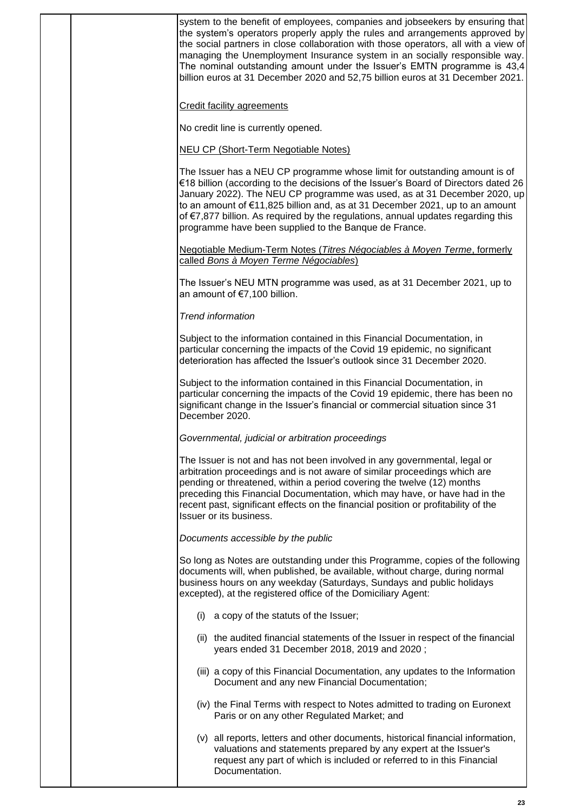| <b>Credit facility agreements</b><br>No credit line is currently opened.<br><b>NEU CP (Short-Term Negotiable Notes)</b><br>The Issuer has a NEU CP programme whose limit for outstanding amount is of<br>to an amount of €11,825 billion and, as at 31 December 2021, up to an amount<br>of €7,877 billion. As required by the regulations, annual updates regarding this<br>programme have been supplied to the Banque de France.<br>Negotiable Medium-Term Notes (Titres Négociables à Moyen Terme, formerly<br>called Bons à Moyen Terme Négociables)<br>The Issuer's NEU MTN programme was used, as at 31 December 2021, up to<br>an amount of €7,100 billion.<br><b>Trend information</b><br>Subject to the information contained in this Financial Documentation, in<br>particular concerning the impacts of the Covid 19 epidemic, no significant<br>deterioration has affected the Issuer's outlook since 31 December 2020.<br>Subject to the information contained in this Financial Documentation, in<br>particular concerning the impacts of the Covid 19 epidemic, there has been no<br>significant change in the Issuer's financial or commercial situation since 31<br>December 2020.<br>Governmental, judicial or arbitration proceedings<br>The Issuer is not and has not been involved in any governmental, legal or<br>arbitration proceedings and is not aware of similar proceedings which are<br>pending or threatened, within a period covering the twelve (12) months<br>preceding this Financial Documentation, which may have, or have had in the<br>recent past, significant effects on the financial position or profitability of the<br>Issuer or its business.<br>Documents accessible by the public<br>So long as Notes are outstanding under this Programme, copies of the following<br>documents will, when published, be available, without charge, during normal<br>business hours on any weekday (Saturdays, Sundays and public holidays<br>excepted), at the registered office of the Domiciliary Agent:<br>a copy of the statuts of the Issuer;<br>(i)<br>(ii) the audited financial statements of the Issuer in respect of the financial<br>years ended 31 December 2018, 2019 and 2020;<br>(iii) a copy of this Financial Documentation, any updates to the Information<br>Document and any new Financial Documentation;<br>(iv) the Final Terms with respect to Notes admitted to trading on Euronext<br>Paris or on any other Regulated Market; and<br>(v) all reports, letters and other documents, historical financial information,<br>valuations and statements prepared by any expert at the Issuer's<br>request any part of which is included or referred to in this Financial<br>Documentation. |  |                                                                                                                                                                                                                                                                                                                                                                                                                                                                                                  |
|-------------------------------------------------------------------------------------------------------------------------------------------------------------------------------------------------------------------------------------------------------------------------------------------------------------------------------------------------------------------------------------------------------------------------------------------------------------------------------------------------------------------------------------------------------------------------------------------------------------------------------------------------------------------------------------------------------------------------------------------------------------------------------------------------------------------------------------------------------------------------------------------------------------------------------------------------------------------------------------------------------------------------------------------------------------------------------------------------------------------------------------------------------------------------------------------------------------------------------------------------------------------------------------------------------------------------------------------------------------------------------------------------------------------------------------------------------------------------------------------------------------------------------------------------------------------------------------------------------------------------------------------------------------------------------------------------------------------------------------------------------------------------------------------------------------------------------------------------------------------------------------------------------------------------------------------------------------------------------------------------------------------------------------------------------------------------------------------------------------------------------------------------------------------------------------------------------------------------------------------------------------------------------------------------------------------------------------------------------------------------------------------------------------------------------------------------------------------------------------------------------------------------------------------------------------------------------------------------------------------------------------------------------------------------------------------------------------------------------------------------|--|--------------------------------------------------------------------------------------------------------------------------------------------------------------------------------------------------------------------------------------------------------------------------------------------------------------------------------------------------------------------------------------------------------------------------------------------------------------------------------------------------|
|                                                                                                                                                                                                                                                                                                                                                                                                                                                                                                                                                                                                                                                                                                                                                                                                                                                                                                                                                                                                                                                                                                                                                                                                                                                                                                                                                                                                                                                                                                                                                                                                                                                                                                                                                                                                                                                                                                                                                                                                                                                                                                                                                                                                                                                                                                                                                                                                                                                                                                                                                                                                                                                                                                                                                 |  | system to the benefit of employees, companies and jobseekers by ensuring that<br>the system's operators properly apply the rules and arrangements approved by<br>the social partners in close collaboration with those operators, all with a view of<br>managing the Unemployment Insurance system in an socially responsible way.<br>The nominal outstanding amount under the Issuer's EMTN programme is 43,4<br>billion euros at 31 December 2020 and 52,75 billion euros at 31 December 2021. |
|                                                                                                                                                                                                                                                                                                                                                                                                                                                                                                                                                                                                                                                                                                                                                                                                                                                                                                                                                                                                                                                                                                                                                                                                                                                                                                                                                                                                                                                                                                                                                                                                                                                                                                                                                                                                                                                                                                                                                                                                                                                                                                                                                                                                                                                                                                                                                                                                                                                                                                                                                                                                                                                                                                                                                 |  |                                                                                                                                                                                                                                                                                                                                                                                                                                                                                                  |
|                                                                                                                                                                                                                                                                                                                                                                                                                                                                                                                                                                                                                                                                                                                                                                                                                                                                                                                                                                                                                                                                                                                                                                                                                                                                                                                                                                                                                                                                                                                                                                                                                                                                                                                                                                                                                                                                                                                                                                                                                                                                                                                                                                                                                                                                                                                                                                                                                                                                                                                                                                                                                                                                                                                                                 |  |                                                                                                                                                                                                                                                                                                                                                                                                                                                                                                  |
|                                                                                                                                                                                                                                                                                                                                                                                                                                                                                                                                                                                                                                                                                                                                                                                                                                                                                                                                                                                                                                                                                                                                                                                                                                                                                                                                                                                                                                                                                                                                                                                                                                                                                                                                                                                                                                                                                                                                                                                                                                                                                                                                                                                                                                                                                                                                                                                                                                                                                                                                                                                                                                                                                                                                                 |  |                                                                                                                                                                                                                                                                                                                                                                                                                                                                                                  |
|                                                                                                                                                                                                                                                                                                                                                                                                                                                                                                                                                                                                                                                                                                                                                                                                                                                                                                                                                                                                                                                                                                                                                                                                                                                                                                                                                                                                                                                                                                                                                                                                                                                                                                                                                                                                                                                                                                                                                                                                                                                                                                                                                                                                                                                                                                                                                                                                                                                                                                                                                                                                                                                                                                                                                 |  | €18 billion (according to the decisions of the Issuer's Board of Directors dated 26<br>January 2022). The NEU CP programme was used, as at 31 December 2020, up                                                                                                                                                                                                                                                                                                                                  |
|                                                                                                                                                                                                                                                                                                                                                                                                                                                                                                                                                                                                                                                                                                                                                                                                                                                                                                                                                                                                                                                                                                                                                                                                                                                                                                                                                                                                                                                                                                                                                                                                                                                                                                                                                                                                                                                                                                                                                                                                                                                                                                                                                                                                                                                                                                                                                                                                                                                                                                                                                                                                                                                                                                                                                 |  |                                                                                                                                                                                                                                                                                                                                                                                                                                                                                                  |
|                                                                                                                                                                                                                                                                                                                                                                                                                                                                                                                                                                                                                                                                                                                                                                                                                                                                                                                                                                                                                                                                                                                                                                                                                                                                                                                                                                                                                                                                                                                                                                                                                                                                                                                                                                                                                                                                                                                                                                                                                                                                                                                                                                                                                                                                                                                                                                                                                                                                                                                                                                                                                                                                                                                                                 |  |                                                                                                                                                                                                                                                                                                                                                                                                                                                                                                  |
|                                                                                                                                                                                                                                                                                                                                                                                                                                                                                                                                                                                                                                                                                                                                                                                                                                                                                                                                                                                                                                                                                                                                                                                                                                                                                                                                                                                                                                                                                                                                                                                                                                                                                                                                                                                                                                                                                                                                                                                                                                                                                                                                                                                                                                                                                                                                                                                                                                                                                                                                                                                                                                                                                                                                                 |  |                                                                                                                                                                                                                                                                                                                                                                                                                                                                                                  |
|                                                                                                                                                                                                                                                                                                                                                                                                                                                                                                                                                                                                                                                                                                                                                                                                                                                                                                                                                                                                                                                                                                                                                                                                                                                                                                                                                                                                                                                                                                                                                                                                                                                                                                                                                                                                                                                                                                                                                                                                                                                                                                                                                                                                                                                                                                                                                                                                                                                                                                                                                                                                                                                                                                                                                 |  |                                                                                                                                                                                                                                                                                                                                                                                                                                                                                                  |
|                                                                                                                                                                                                                                                                                                                                                                                                                                                                                                                                                                                                                                                                                                                                                                                                                                                                                                                                                                                                                                                                                                                                                                                                                                                                                                                                                                                                                                                                                                                                                                                                                                                                                                                                                                                                                                                                                                                                                                                                                                                                                                                                                                                                                                                                                                                                                                                                                                                                                                                                                                                                                                                                                                                                                 |  |                                                                                                                                                                                                                                                                                                                                                                                                                                                                                                  |
|                                                                                                                                                                                                                                                                                                                                                                                                                                                                                                                                                                                                                                                                                                                                                                                                                                                                                                                                                                                                                                                                                                                                                                                                                                                                                                                                                                                                                                                                                                                                                                                                                                                                                                                                                                                                                                                                                                                                                                                                                                                                                                                                                                                                                                                                                                                                                                                                                                                                                                                                                                                                                                                                                                                                                 |  |                                                                                                                                                                                                                                                                                                                                                                                                                                                                                                  |
|                                                                                                                                                                                                                                                                                                                                                                                                                                                                                                                                                                                                                                                                                                                                                                                                                                                                                                                                                                                                                                                                                                                                                                                                                                                                                                                                                                                                                                                                                                                                                                                                                                                                                                                                                                                                                                                                                                                                                                                                                                                                                                                                                                                                                                                                                                                                                                                                                                                                                                                                                                                                                                                                                                                                                 |  |                                                                                                                                                                                                                                                                                                                                                                                                                                                                                                  |
|                                                                                                                                                                                                                                                                                                                                                                                                                                                                                                                                                                                                                                                                                                                                                                                                                                                                                                                                                                                                                                                                                                                                                                                                                                                                                                                                                                                                                                                                                                                                                                                                                                                                                                                                                                                                                                                                                                                                                                                                                                                                                                                                                                                                                                                                                                                                                                                                                                                                                                                                                                                                                                                                                                                                                 |  |                                                                                                                                                                                                                                                                                                                                                                                                                                                                                                  |
|                                                                                                                                                                                                                                                                                                                                                                                                                                                                                                                                                                                                                                                                                                                                                                                                                                                                                                                                                                                                                                                                                                                                                                                                                                                                                                                                                                                                                                                                                                                                                                                                                                                                                                                                                                                                                                                                                                                                                                                                                                                                                                                                                                                                                                                                                                                                                                                                                                                                                                                                                                                                                                                                                                                                                 |  |                                                                                                                                                                                                                                                                                                                                                                                                                                                                                                  |
|                                                                                                                                                                                                                                                                                                                                                                                                                                                                                                                                                                                                                                                                                                                                                                                                                                                                                                                                                                                                                                                                                                                                                                                                                                                                                                                                                                                                                                                                                                                                                                                                                                                                                                                                                                                                                                                                                                                                                                                                                                                                                                                                                                                                                                                                                                                                                                                                                                                                                                                                                                                                                                                                                                                                                 |  |                                                                                                                                                                                                                                                                                                                                                                                                                                                                                                  |
|                                                                                                                                                                                                                                                                                                                                                                                                                                                                                                                                                                                                                                                                                                                                                                                                                                                                                                                                                                                                                                                                                                                                                                                                                                                                                                                                                                                                                                                                                                                                                                                                                                                                                                                                                                                                                                                                                                                                                                                                                                                                                                                                                                                                                                                                                                                                                                                                                                                                                                                                                                                                                                                                                                                                                 |  |                                                                                                                                                                                                                                                                                                                                                                                                                                                                                                  |
|                                                                                                                                                                                                                                                                                                                                                                                                                                                                                                                                                                                                                                                                                                                                                                                                                                                                                                                                                                                                                                                                                                                                                                                                                                                                                                                                                                                                                                                                                                                                                                                                                                                                                                                                                                                                                                                                                                                                                                                                                                                                                                                                                                                                                                                                                                                                                                                                                                                                                                                                                                                                                                                                                                                                                 |  |                                                                                                                                                                                                                                                                                                                                                                                                                                                                                                  |
|                                                                                                                                                                                                                                                                                                                                                                                                                                                                                                                                                                                                                                                                                                                                                                                                                                                                                                                                                                                                                                                                                                                                                                                                                                                                                                                                                                                                                                                                                                                                                                                                                                                                                                                                                                                                                                                                                                                                                                                                                                                                                                                                                                                                                                                                                                                                                                                                                                                                                                                                                                                                                                                                                                                                                 |  |                                                                                                                                                                                                                                                                                                                                                                                                                                                                                                  |
|                                                                                                                                                                                                                                                                                                                                                                                                                                                                                                                                                                                                                                                                                                                                                                                                                                                                                                                                                                                                                                                                                                                                                                                                                                                                                                                                                                                                                                                                                                                                                                                                                                                                                                                                                                                                                                                                                                                                                                                                                                                                                                                                                                                                                                                                                                                                                                                                                                                                                                                                                                                                                                                                                                                                                 |  |                                                                                                                                                                                                                                                                                                                                                                                                                                                                                                  |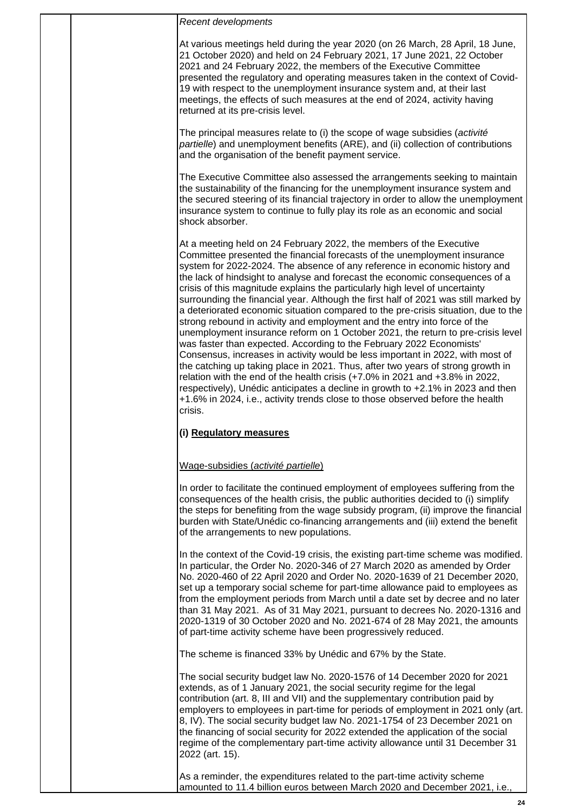At various meetings held during the year 2020 (on 26 March, 28 April, 18 June, 21 October 2020) and held on 24 February 2021, 17 June 2021, 22 October 2021 and 24 February 2022, the members of the Executive Committee presented the regulatory and operating measures taken in the context of Covid-19 with respect to the unemployment insurance system and, at their last meetings, the effects of such measures at the end of 2024, activity having returned at its pre-crisis level.

The principal measures relate to (i) the scope of wage subsidies (*activité partielle*) and unemployment benefits (ARE), and (ii) collection of contributions and the organisation of the benefit payment service.

The Executive Committee also assessed the arrangements seeking to maintain the sustainability of the financing for the unemployment insurance system and the secured steering of its financial trajectory in order to allow the unemployment insurance system to continue to fully play its role as an economic and social shock absorber.

At a meeting held on 24 February 2022, the members of the Executive Committee presented the financial forecasts of the unemployment insurance system for 2022-2024. The absence of any reference in economic history and the lack of hindsight to analyse and forecast the economic consequences of a crisis of this magnitude explains the particularly high level of uncertainty surrounding the financial year. Although the first half of 2021 was still marked by a deteriorated economic situation compared to the pre-crisis situation, due to the strong rebound in activity and employment and the entry into force of the unemployment insurance reform on 1 October 2021, the return to pre-crisis level was faster than expected. According to the February 2022 Economists' Consensus, increases in activity would be less important in 2022, with most of the catching up taking place in 2021. Thus, after two years of strong growth in relation with the end of the health crisis (+7.0% in 2021 and +3.8% in 2022, respectively), Unédic anticipates a decline in growth to +2.1% in 2023 and then +1.6% in 2024, i.e., activity trends close to those observed before the health crisis.

#### **(i) Regulatory measures**

#### Wage-subsidies (*activité partielle*)

In order to facilitate the continued employment of employees suffering from the consequences of the health crisis, the public authorities decided to (i) simplify the steps for benefiting from the wage subsidy program, (ii) improve the financial burden with State/Unédic co-financing arrangements and (iii) extend the benefit of the arrangements to new populations.

In the context of the Covid-19 crisis, the existing part-time scheme was modified. In particular, the Order No. 2020-346 of 27 March 2020 as amended by Order No. 2020-460 of 22 April 2020 and Order No. 2020-1639 of 21 December 2020, set up a temporary social scheme for part-time allowance paid to employees as from the employment periods from March until a date set by decree and no later than 31 May 2021. As of 31 May 2021, pursuant to decrees No. 2020-1316 and 2020-1319 of 30 October 2020 and No. 2021-674 of 28 May 2021, the amounts of part-time activity scheme have been progressively reduced.

The scheme is financed 33% by Unédic and 67% by the State.

The social security budget law No. 2020-1576 of 14 December 2020 for 2021 extends, as of 1 January 2021, the social security regime for the legal contribution (art. 8, III and VII) and the supplementary contribution paid by employers to employees in part-time for periods of employment in 2021 only (art. 8, IV). The social security budget law No. 2021-1754 of 23 December 2021 on the financing of social security for 2022 extended the application of the social regime of the complementary part-time activity allowance until 31 December 31 2022 (art. 15).

As a reminder, the expenditures related to the part-time activity scheme amounted to 11.4 billion euros between March 2020 and December 2021, i.e.,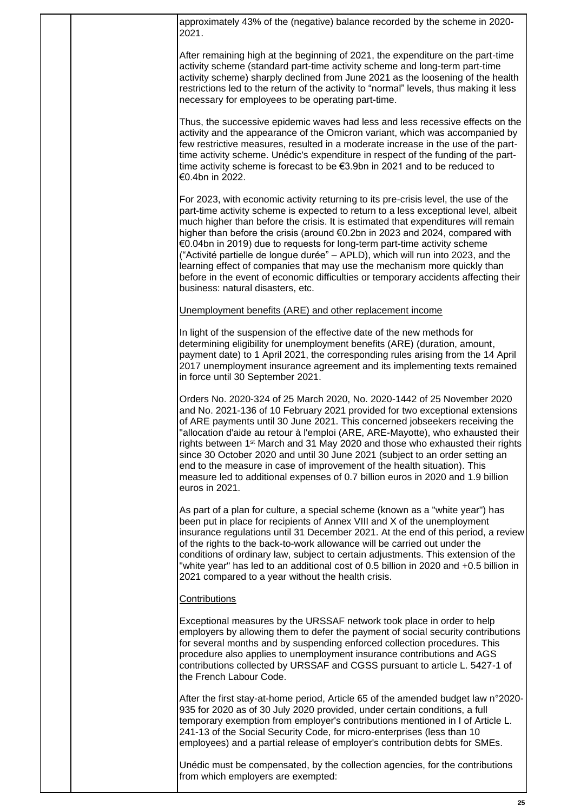|  | approximately 43% of the (negative) balance recorded by the scheme in 2020-<br>2021.                                                                                                                                                                                                                                                                                                                                                                                                                                                                                                                                                                                                                                    |
|--|-------------------------------------------------------------------------------------------------------------------------------------------------------------------------------------------------------------------------------------------------------------------------------------------------------------------------------------------------------------------------------------------------------------------------------------------------------------------------------------------------------------------------------------------------------------------------------------------------------------------------------------------------------------------------------------------------------------------------|
|  | After remaining high at the beginning of 2021, the expenditure on the part-time<br>activity scheme (standard part-time activity scheme and long-term part-time<br>activity scheme) sharply declined from June 2021 as the loosening of the health<br>restrictions led to the return of the activity to "normal" levels, thus making it less<br>necessary for employees to be operating part-time.                                                                                                                                                                                                                                                                                                                       |
|  | Thus, the successive epidemic waves had less and less recessive effects on the<br>activity and the appearance of the Omicron variant, which was accompanied by<br>few restrictive measures, resulted in a moderate increase in the use of the part-<br>time activity scheme. Unédic's expenditure in respect of the funding of the part-<br>time activity scheme is forecast to be $€3.9$ bn in 2021 and to be reduced to<br>€0.4bn in 2022.                                                                                                                                                                                                                                                                            |
|  | For 2023, with economic activity returning to its pre-crisis level, the use of the<br>part-time activity scheme is expected to return to a less exceptional level, albeit<br>much higher than before the crisis. It is estimated that expenditures will remain<br>higher than before the crisis (around €0.2bn in 2023 and 2024, compared with<br>€0.04bn in 2019) due to requests for long-term part-time activity scheme<br>("Activité partielle de longue durée" - APLD), which will run into 2023, and the<br>learning effect of companies that may use the mechanism more quickly than<br>before in the event of economic difficulties or temporary accidents affecting their<br>business: natural disasters, etc. |
|  | Unemployment benefits (ARE) and other replacement income                                                                                                                                                                                                                                                                                                                                                                                                                                                                                                                                                                                                                                                                |
|  | In light of the suspension of the effective date of the new methods for<br>determining eligibility for unemployment benefits (ARE) (duration, amount,<br>payment date) to 1 April 2021, the corresponding rules arising from the 14 April<br>2017 unemployment insurance agreement and its implementing texts remained<br>in force until 30 September 2021.                                                                                                                                                                                                                                                                                                                                                             |
|  | Orders No. 2020-324 of 25 March 2020, No. 2020-1442 of 25 November 2020<br>and No. 2021-136 of 10 February 2021 provided for two exceptional extensions<br>of ARE payments until 30 June 2021. This concerned jobseekers receiving the<br>"allocation d'aide au retour à l'emploi (ARE, ARE-Mayotte), who exhausted their<br>rights between 1 <sup>st</sup> March and 31 May 2020 and those who exhausted their rights<br>since 30 October 2020 and until 30 June 2021 (subject to an order setting an<br>end to the measure in case of improvement of the health situation). This<br>measure led to additional expenses of 0.7 billion euros in 2020 and 1.9 billion<br>euros in 2021.                                 |
|  | As part of a plan for culture, a special scheme (known as a "white year") has<br>been put in place for recipients of Annex VIII and X of the unemployment<br>insurance regulations until 31 December 2021. At the end of this period, a review<br>of the rights to the back-to-work allowance will be carried out under the<br>conditions of ordinary law, subject to certain adjustments. This extension of the<br>"white year" has led to an additional cost of 0.5 billion in 2020 and +0.5 billion in<br>2021 compared to a year without the health crisis.                                                                                                                                                         |
|  | <b>Contributions</b>                                                                                                                                                                                                                                                                                                                                                                                                                                                                                                                                                                                                                                                                                                    |
|  | Exceptional measures by the URSSAF network took place in order to help<br>employers by allowing them to defer the payment of social security contributions<br>for several months and by suspending enforced collection procedures. This<br>procedure also applies to unemployment insurance contributions and AGS<br>contributions collected by URSSAF and CGSS pursuant to article L. 5427-1 of<br>the French Labour Code.                                                                                                                                                                                                                                                                                             |
|  | After the first stay-at-home period, Article 65 of the amended budget law n°2020-<br>935 for 2020 as of 30 July 2020 provided, under certain conditions, a full<br>temporary exemption from employer's contributions mentioned in I of Article L.<br>241-13 of the Social Security Code, for micro-enterprises (less than 10<br>employees) and a partial release of employer's contribution debts for SMEs.                                                                                                                                                                                                                                                                                                             |
|  | Unédic must be compensated, by the collection agencies, for the contributions<br>from which employers are exempted:                                                                                                                                                                                                                                                                                                                                                                                                                                                                                                                                                                                                     |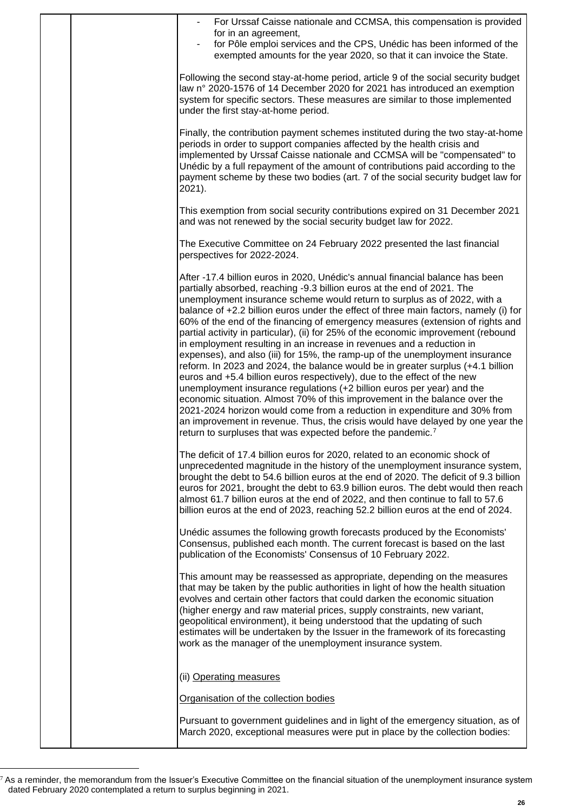|  | For Urssaf Caisse nationale and CCMSA, this compensation is provided                                                                                                                                                                                                                                                                                                                                                                                                                                                                                                                                                                                                                                                                                                                                                                                                                                                                                                                                                                                                                                                                                                                                                           |
|--|--------------------------------------------------------------------------------------------------------------------------------------------------------------------------------------------------------------------------------------------------------------------------------------------------------------------------------------------------------------------------------------------------------------------------------------------------------------------------------------------------------------------------------------------------------------------------------------------------------------------------------------------------------------------------------------------------------------------------------------------------------------------------------------------------------------------------------------------------------------------------------------------------------------------------------------------------------------------------------------------------------------------------------------------------------------------------------------------------------------------------------------------------------------------------------------------------------------------------------|
|  | for in an agreement,<br>for Pôle emploi services and the CPS, Unédic has been informed of the<br>exempted amounts for the year 2020, so that it can invoice the State.                                                                                                                                                                                                                                                                                                                                                                                                                                                                                                                                                                                                                                                                                                                                                                                                                                                                                                                                                                                                                                                         |
|  | Following the second stay-at-home period, article 9 of the social security budget<br>law n° 2020-1576 of 14 December 2020 for 2021 has introduced an exemption<br>system for specific sectors. These measures are similar to those implemented<br>under the first stay-at-home period.                                                                                                                                                                                                                                                                                                                                                                                                                                                                                                                                                                                                                                                                                                                                                                                                                                                                                                                                         |
|  | Finally, the contribution payment schemes instituted during the two stay-at-home<br>periods in order to support companies affected by the health crisis and<br>implemented by Urssaf Caisse nationale and CCMSA will be "compensated" to<br>Unédic by a full repayment of the amount of contributions paid according to the<br>payment scheme by these two bodies (art. 7 of the social security budget law for<br>2021).                                                                                                                                                                                                                                                                                                                                                                                                                                                                                                                                                                                                                                                                                                                                                                                                      |
|  | This exemption from social security contributions expired on 31 December 2021<br>and was not renewed by the social security budget law for 2022.                                                                                                                                                                                                                                                                                                                                                                                                                                                                                                                                                                                                                                                                                                                                                                                                                                                                                                                                                                                                                                                                               |
|  | The Executive Committee on 24 February 2022 presented the last financial<br>perspectives for 2022-2024.                                                                                                                                                                                                                                                                                                                                                                                                                                                                                                                                                                                                                                                                                                                                                                                                                                                                                                                                                                                                                                                                                                                        |
|  | After -17.4 billion euros in 2020, Unédic's annual financial balance has been<br>partially absorbed, reaching -9.3 billion euros at the end of 2021. The<br>unemployment insurance scheme would return to surplus as of 2022, with a<br>balance of +2.2 billion euros under the effect of three main factors, namely (i) for<br>60% of the end of the financing of emergency measures (extension of rights and<br>partial activity in particular), (ii) for 25% of the economic improvement (rebound<br>in employment resulting in an increase in revenues and a reduction in<br>expenses), and also (iii) for 15%, the ramp-up of the unemployment insurance<br>reform. In 2023 and 2024, the balance would be in greater surplus (+4.1 billion<br>euros and +5.4 billion euros respectively), due to the effect of the new<br>unemployment insurance regulations (+2 billion euros per year) and the<br>economic situation. Almost 70% of this improvement in the balance over the<br>2021-2024 horizon would come from a reduction in expenditure and 30% from<br>an improvement in revenue. Thus, the crisis would have delayed by one year the<br>return to surpluses that was expected before the pandemic. <sup>7</sup> |
|  | The deficit of 17.4 billion euros for 2020, related to an economic shock of<br>unprecedented magnitude in the history of the unemployment insurance system,<br>brought the debt to 54.6 billion euros at the end of 2020. The deficit of 9.3 billion<br>euros for 2021, brought the debt to 63.9 billion euros. The debt would then reach<br>almost 61.7 billion euros at the end of 2022, and then continue to fall to 57.6<br>billion euros at the end of 2023, reaching 52.2 billion euros at the end of 2024.                                                                                                                                                                                                                                                                                                                                                                                                                                                                                                                                                                                                                                                                                                              |
|  | Unédic assumes the following growth forecasts produced by the Economists'<br>Consensus, published each month. The current forecast is based on the last<br>publication of the Economists' Consensus of 10 February 2022.                                                                                                                                                                                                                                                                                                                                                                                                                                                                                                                                                                                                                                                                                                                                                                                                                                                                                                                                                                                                       |
|  | This amount may be reassessed as appropriate, depending on the measures<br>that may be taken by the public authorities in light of how the health situation<br>evolves and certain other factors that could darken the economic situation<br>(higher energy and raw material prices, supply constraints, new variant,<br>geopolitical environment), it being understood that the updating of such<br>estimates will be undertaken by the Issuer in the framework of its forecasting<br>work as the manager of the unemployment insurance system.                                                                                                                                                                                                                                                                                                                                                                                                                                                                                                                                                                                                                                                                               |
|  | (ii) Operating measures                                                                                                                                                                                                                                                                                                                                                                                                                                                                                                                                                                                                                                                                                                                                                                                                                                                                                                                                                                                                                                                                                                                                                                                                        |
|  | Organisation of the collection bodies                                                                                                                                                                                                                                                                                                                                                                                                                                                                                                                                                                                                                                                                                                                                                                                                                                                                                                                                                                                                                                                                                                                                                                                          |
|  | Pursuant to government guidelines and in light of the emergency situation, as of<br>March 2020, exceptional measures were put in place by the collection bodies:                                                                                                                                                                                                                                                                                                                                                                                                                                                                                                                                                                                                                                                                                                                                                                                                                                                                                                                                                                                                                                                               |

 $^7$  As a reminder, the memorandum from the Issuer's Executive Committee on the financial situation of the unemployment insurance system dated February 2020 contemplated a return to surplus beginning in 2021.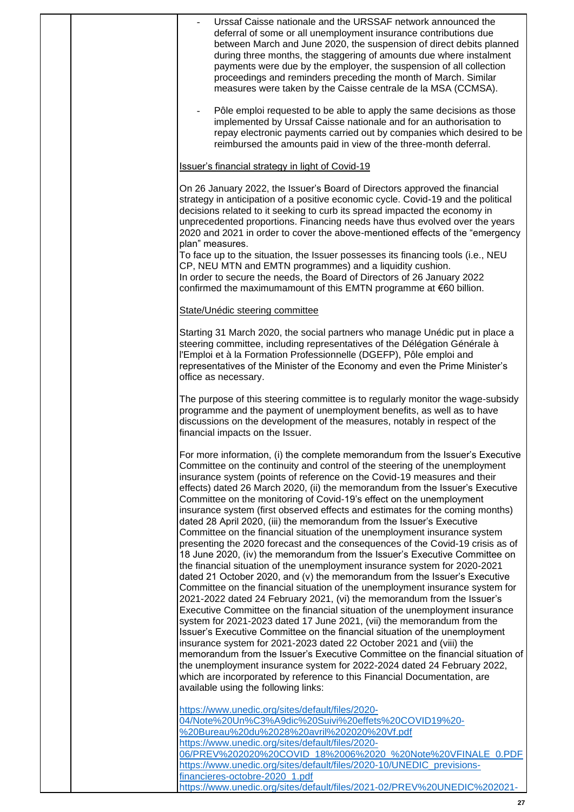| Urssaf Caisse nationale and the URSSAF network announced the<br>deferral of some or all unemployment insurance contributions due<br>between March and June 2020, the suspension of direct debits planned<br>during three months, the staggering of amounts due where instalment<br>payments were due by the employer, the suspension of all collection<br>proceedings and reminders preceding the month of March. Similar<br>measures were taken by the Caisse centrale de la MSA (CCMSA).<br>Pôle emploi requested to be able to apply the same decisions as those<br>implemented by Urssaf Caisse nationale and for an authorisation to<br>repay electronic payments carried out by companies which desired to be<br>reimbursed the amounts paid in view of the three-month deferral.                                                                                                                                                                                                                                                                                                                                                                                                                                                                                                                                                                                                                                                                                                                                                                                                                                                                                                                                          |
|----------------------------------------------------------------------------------------------------------------------------------------------------------------------------------------------------------------------------------------------------------------------------------------------------------------------------------------------------------------------------------------------------------------------------------------------------------------------------------------------------------------------------------------------------------------------------------------------------------------------------------------------------------------------------------------------------------------------------------------------------------------------------------------------------------------------------------------------------------------------------------------------------------------------------------------------------------------------------------------------------------------------------------------------------------------------------------------------------------------------------------------------------------------------------------------------------------------------------------------------------------------------------------------------------------------------------------------------------------------------------------------------------------------------------------------------------------------------------------------------------------------------------------------------------------------------------------------------------------------------------------------------------------------------------------------------------------------------------------|
| <b>Issuer's financial strategy in light of Covid-19</b>                                                                                                                                                                                                                                                                                                                                                                                                                                                                                                                                                                                                                                                                                                                                                                                                                                                                                                                                                                                                                                                                                                                                                                                                                                                                                                                                                                                                                                                                                                                                                                                                                                                                          |
| On 26 January 2022, the Issuer's Board of Directors approved the financial<br>strategy in anticipation of a positive economic cycle. Covid-19 and the political<br>decisions related to it seeking to curb its spread impacted the economy in<br>unprecedented proportions. Financing needs have thus evolved over the years<br>2020 and 2021 in order to cover the above-mentioned effects of the "emergency<br>plan" measures.<br>To face up to the situation, the Issuer possesses its financing tools (i.e., NEU<br>CP, NEU MTN and EMTN programmes) and a liquidity cushion.<br>In order to secure the needs, the Board of Directors of 26 January 2022<br>confirmed the maximumamount of this EMTN programme at €60 billion.                                                                                                                                                                                                                                                                                                                                                                                                                                                                                                                                                                                                                                                                                                                                                                                                                                                                                                                                                                                               |
| State/Unédic steering committee                                                                                                                                                                                                                                                                                                                                                                                                                                                                                                                                                                                                                                                                                                                                                                                                                                                                                                                                                                                                                                                                                                                                                                                                                                                                                                                                                                                                                                                                                                                                                                                                                                                                                                  |
| Starting 31 March 2020, the social partners who manage Unédic put in place a<br>steering committee, including representatives of the Délégation Générale à<br>l'Emploi et à la Formation Professionnelle (DGEFP), Pôle emploi and<br>representatives of the Minister of the Economy and even the Prime Minister's<br>office as necessary.                                                                                                                                                                                                                                                                                                                                                                                                                                                                                                                                                                                                                                                                                                                                                                                                                                                                                                                                                                                                                                                                                                                                                                                                                                                                                                                                                                                        |
| The purpose of this steering committee is to regularly monitor the wage-subsidy<br>programme and the payment of unemployment benefits, as well as to have<br>discussions on the development of the measures, notably in respect of the<br>financial impacts on the Issuer.                                                                                                                                                                                                                                                                                                                                                                                                                                                                                                                                                                                                                                                                                                                                                                                                                                                                                                                                                                                                                                                                                                                                                                                                                                                                                                                                                                                                                                                       |
| For more information, (i) the complete memorandum from the Issuer's Executive<br>Committee on the continuity and control of the steering of the unemployment<br>insurance system (points of reference on the Covid-19 measures and their<br>effects) dated 26 March 2020, (ii) the memorandum from the Issuer's Executive<br>Committee on the monitoring of Covid-19's effect on the unemployment<br>insurance system (first observed effects and estimates for the coming months)<br>dated 28 April 2020, (iii) the memorandum from the Issuer's Executive<br>Committee on the financial situation of the unemployment insurance system<br>presenting the 2020 forecast and the consequences of the Covid-19 crisis as of<br>18 June 2020, (iv) the memorandum from the Issuer's Executive Committee on<br>the financial situation of the unemployment insurance system for 2020-2021<br>dated 21 October 2020, and (v) the memorandum from the Issuer's Executive<br>Committee on the financial situation of the unemployment insurance system for<br>2021-2022 dated 24 February 2021, (vi) the memorandum from the Issuer's<br>Executive Committee on the financial situation of the unemployment insurance<br>system for 2021-2023 dated 17 June 2021, (vii) the memorandum from the<br>Issuer's Executive Committee on the financial situation of the unemployment<br>insurance system for 2021-2023 dated 22 October 2021 and (viii) the<br>memorandum from the Issuer's Executive Committee on the financial situation of<br>the unemployment insurance system for 2022-2024 dated 24 February 2022,<br>which are incorporated by reference to this Financial Documentation, are<br>available using the following links: |
| https://www.unedic.org/sites/default/files/2020-<br>04/Note%20Un%C3%A9dic%20Suivi%20effets%20COVID19%20-<br>%20Bureau%20du%2028%20avril%202020%20Vf.pdf<br>https://www.unedic.org/sites/default/files/2020-<br>06/PREV%202020%20COVID 18%2006%2020 %20Note%20VFINALE 0.PDF<br>https://www.unedic.org/sites/default/files/2020-10/UNEDIC_previsions-<br>financieres-octobre-2020_1.pdf<br>https://www.unedic.org/sites/default/files/2021-02/PREV%20UNEDIC%202021-                                                                                                                                                                                                                                                                                                                                                                                                                                                                                                                                                                                                                                                                                                                                                                                                                                                                                                                                                                                                                                                                                                                                                                                                                                                                |

**27**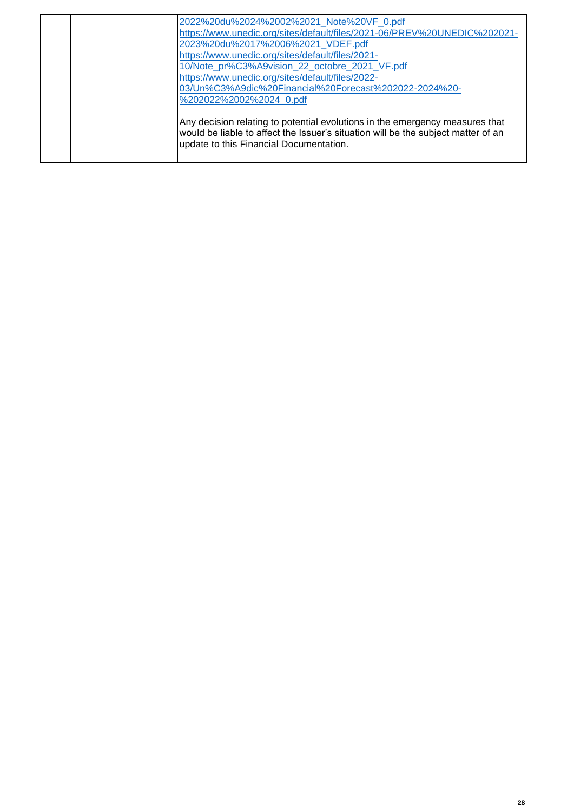| 2022%20du%2024%2002%2021 Note%20VF 0.pdf<br>https://www.unedic.org/sites/default/files/2021-06/PREV%20UNEDIC%202021-<br>2023%20du%2017%2006%2021_VDEF.pdf<br>https://www.unedic.org/sites/default/files/2021-<br>10/Note_pr%C3%A9vision_22_octobre_2021_VF.pdf<br>https://www.unedic.org/sites/default/files/2022-<br>03/Un%C3%A9dic%20Financial%20Forecast%202022-2024%20- |
|-----------------------------------------------------------------------------------------------------------------------------------------------------------------------------------------------------------------------------------------------------------------------------------------------------------------------------------------------------------------------------|
| %202022%2002%2024 0.pdf<br>Any decision relating to potential evolutions in the emergency measures that<br>would be liable to affect the Issuer's situation will be the subject matter of an<br>update to this Financial Documentation.                                                                                                                                     |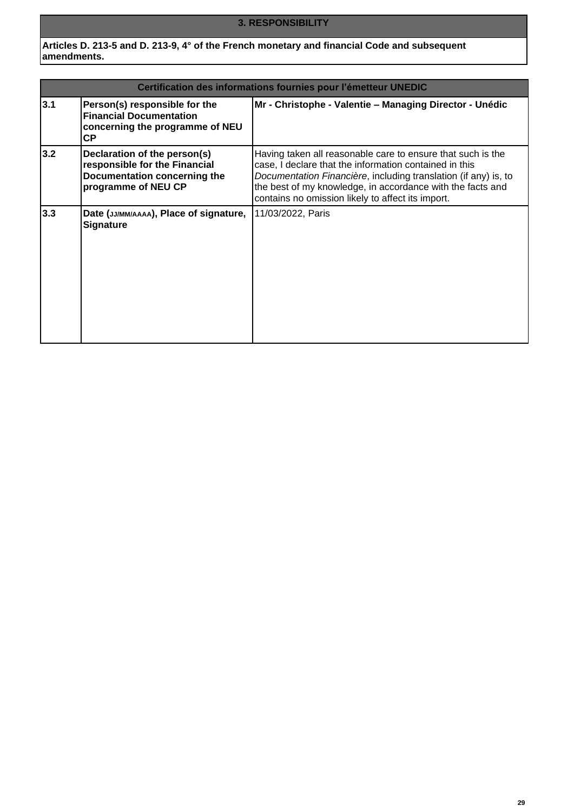# **3. RESPONSIBILITY**

**Articles D. 213-5 and D. 213-9, 4° of the French monetary and financial Code and subsequent amendments.**

| Certification des informations fournies pour l'émetteur UNEDIC |                                                                                                                      |                                                                                                                                                                                                                                                                                                             |  |
|----------------------------------------------------------------|----------------------------------------------------------------------------------------------------------------------|-------------------------------------------------------------------------------------------------------------------------------------------------------------------------------------------------------------------------------------------------------------------------------------------------------------|--|
| 3.1                                                            | Person(s) responsible for the<br><b>Financial Documentation</b><br>concerning the programme of NEU<br><b>CP</b>      | Mr - Christophe - Valentie - Managing Director - Unédic                                                                                                                                                                                                                                                     |  |
| 3.2                                                            | Declaration of the person(s)<br>responsible for the Financial<br>Documentation concerning the<br>programme of NEU CP | Having taken all reasonable care to ensure that such is the<br>case, I declare that the information contained in this<br>Documentation Financière, including translation (if any) is, to<br>the best of my knowledge, in accordance with the facts and<br>contains no omission likely to affect its import. |  |
| 3.3                                                            | Date (JJ/MM/AAAA), Place of signature,<br><b>Signature</b>                                                           | 11/03/2022, Paris                                                                                                                                                                                                                                                                                           |  |